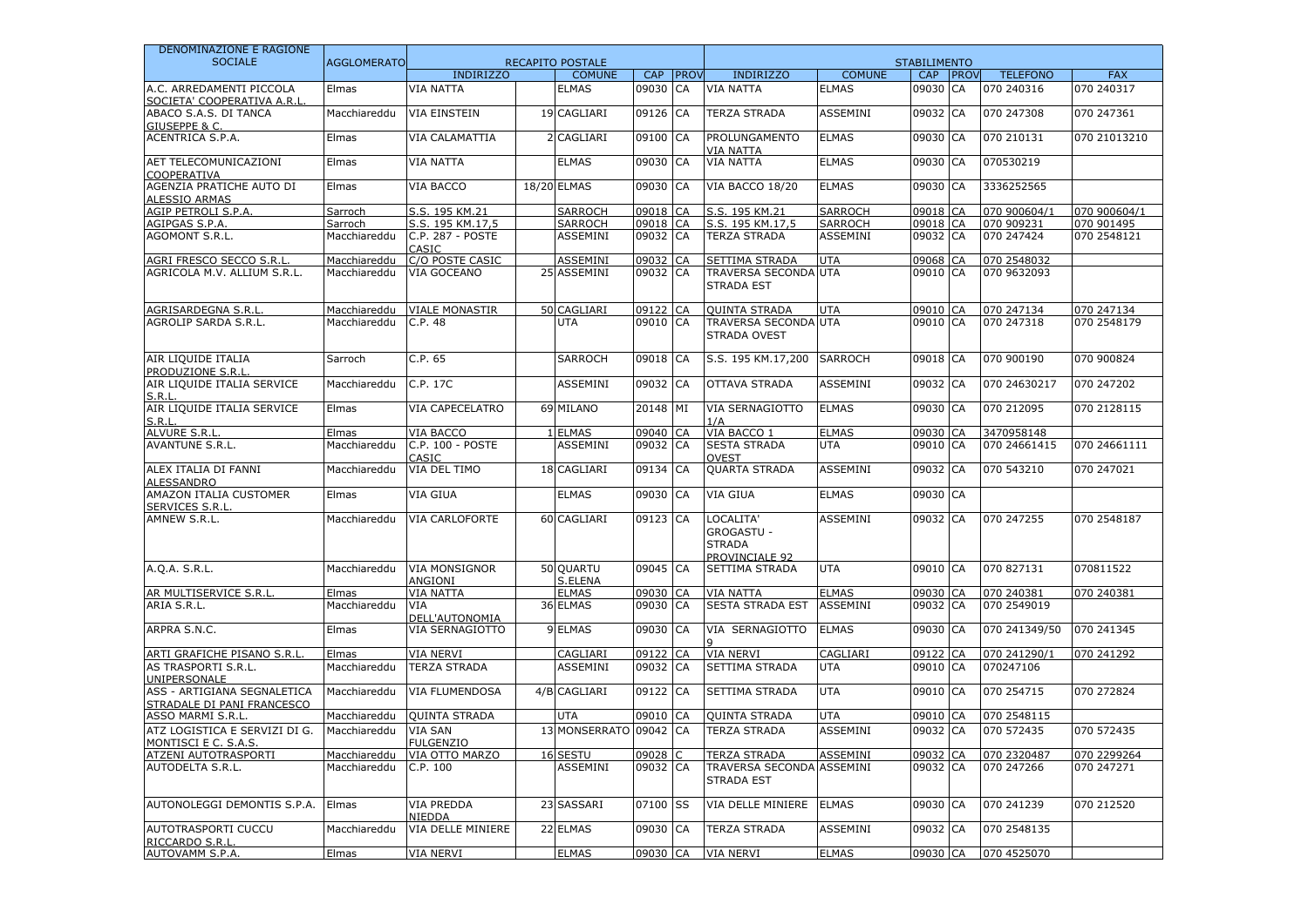| DENOMINAZIONE E RAGIONE                                   |                    |                                    |                         |          |             |                                                                   |                 |                     |             |                 |              |
|-----------------------------------------------------------|--------------------|------------------------------------|-------------------------|----------|-------------|-------------------------------------------------------------------|-----------------|---------------------|-------------|-----------------|--------------|
| <b>SOCIALE</b>                                            | <b>AGGLOMERATO</b> |                                    | <b>RECAPITO POSTALE</b> |          |             |                                                                   |                 | <b>STABILIMENTO</b> |             |                 |              |
|                                                           |                    | <b>INDIRIZZO</b>                   | <b>COMUNE</b>           | CAP      | <b>PROV</b> | <b>INDIRIZZO</b>                                                  | <b>COMUNE</b>   | <b>CAP</b>          | <b>PROV</b> | <b>TELEFONO</b> | <b>FAX</b>   |
| A.C. ARREDAMENTI PICCOLA<br>SOCIETA' COOPERATIVA A.R.L    | Elmas              | <b>VIA NATTA</b>                   | <b>ELMAS</b>            | 09030    | CA          | <b>VIA NATTA</b>                                                  | <b>ELMAS</b>    | 09030 CA            |             | 070 240316      | 070 240317   |
| ABACO S.A.S. DI TANCA<br>GIUSEPPE & C.                    | Macchiareddu       | <b>VIA EINSTEIN</b>                | 19 CAGLIARI             | 09126 CA |             | <b>TERZA STRADA</b>                                               | ASSEMINI        | 09032 CA            |             | 070 247308      | 070 247361   |
| ACENTRICA S.P.A.                                          | Elmas              | VIA CALAMATTIA                     | 2 CAGLIARI              | 09100    | CA          | PROLUNGAMENTO<br><b>VIA NATTA</b>                                 | <b>ELMAS</b>    | 09030 CA            |             | 070 210131      | 070 21013210 |
| AET TELECOMUNICAZIONI<br>COOPERATIVA                      | Elmas              | VIA NATTA                          | <b>ELMAS</b>            | 09030    | CA          | <b>VIA NATTA</b>                                                  | <b>ELMAS</b>    | 09030 CA            |             | 070530219       |              |
| AGENZIA PRATICHE AUTO DI<br><b>ALESSIO ARMAS</b>          | Elmas              | VIA BACCO                          | 18/20 ELMAS             | 09030 CA |             | VIA BACCO 18/20                                                   | <b>ELMAS</b>    | 09030 CA            |             | 3336252565      |              |
| AGIP PETROLI S.P.A.                                       | Sarroch            | S.S. 195 KM.21                     | <b>SARROCH</b>          | 09018 CA |             | S.S. 195 KM.21                                                    | <b>SARROCH</b>  | 09018 CA            |             | 070 900604/1    | 070 900604/1 |
| AGIPGAS S.P.A.                                            | Sarroch            | S.S. 195 KM.17,5                   | <b>SARROCH</b>          | 09018 CA |             | S.S. 195 KM.17,5                                                  | SARROCH         | 09018 CA            |             | 070 909231      | 070 901495   |
| AGOMONT S.R.L.                                            | Macchiareddu       | C.P. 287 - POSTE<br>CASIC          | ASSEMINI                | 09032 CA |             | <b>TERZA STRADA</b>                                               | ASSEMINI        | 09032 CA            |             | 070 247424      | 070 2548121  |
| AGRI FRESCO SECCO S.R.I                                   | Macchiareddu       | C/O POSTE CASIC                    | <b>ASSEMINI</b>         | 09032    | CA          | SETTIMA STRADA                                                    | <b>UTA</b>      | 09068 CA            |             | 070 2548032     |              |
| AGRICOLA M.V. ALLIUM S.R.L.                               | Macchiareddu       | VIA GOCEANO                        | 25 ASSEMINI             | 09032 CA |             | <b>TRAVERSA SECONDA UTA</b><br><b>STRADA EST</b>                  |                 | 09010 CA            |             | 070 9632093     |              |
| AGRISARDEGNA S.R.L                                        | Macchiareddu       | <b>VIALE MONASTIR</b>              | 50 CAGLIARI             | 09122 CA |             | <b>QUINTA STRADA</b>                                              | <b>UTA</b>      | 09010 CA            |             | 070 247134      | 070 247134   |
| AGROLIP SARDA S.R.L.                                      | Macchiareddu       | C.P. 48                            | UTA                     | 09010 CA |             | <b>TRAVERSA SECONDA UTA</b><br>STRADA OVEST                       |                 | 09010 CA            |             | 070 247318      | 070 2548179  |
| AIR LIQUIDE ITALIA<br>PRODUZIONE S.R.L.                   | Sarroch            | C.P. 65                            | <b>SARROCH</b>          | 09018 CA |             | S.S. 195 KM.17,200                                                | <b>SARROCH</b>  | 09018 CA            |             | 070 900190      | 070 900824   |
| AIR LIQUIDE ITALIA SERVICE<br>S.R.l                       | Macchiareddu       | C.P. 17C                           | <b>ASSEMINI</b>         | 09032 CA |             | <b>OTTAVA STRADA</b>                                              | <b>ASSEMINI</b> | 09032 CA            |             | 070 24630217    | 070 247202   |
| AIR LIQUIDE ITALIA SERVICE<br>S.R.l                       | Elmas              | VIA CAPECELATRO                    | 69 MILANO               | 20148 MI |             | VIA SERNAGIOTTO<br>1/A                                            | <b>ELMAS</b>    | 09030 CA            |             | 070 212095      | 070 2128115  |
| ALVURE S.R.L                                              | Elmas              | VIA BACCO                          | 1 ELMAS                 | 09040 CA |             | VIA BACCO 1                                                       | <b>ELMAS</b>    | 09030 CA            |             | 3470958148      |              |
| <b>AVANTUNE S.R.L.</b>                                    | Macchiareddu       | C.P. 100 - POSTE<br>CASIC          | ASSEMINI                | 09032 CA |             | <b>SESTA STRADA</b><br><b>OVEST</b>                               | <b>UTA</b>      | 09010 CA            |             | 070 24661415    | 070 24661111 |
| ALEX ITALIA DI FANNI<br><b>ALESSANDRO</b>                 | Macchiareddu       | VIA DEL TIMO                       | 18 CAGLIARI             | 09134    | <b>CA</b>   | <b>QUARTA STRADA</b>                                              | ASSEMINI        | 09032 CA            |             | 070 543210      | 070 247021   |
| AMAZON ITALIA CUSTOMER<br><b>SERVICES S.R.I</b>           | Elmas              | VIA GIUA                           | <b>ELMAS</b>            | 09030 CA |             | <b>VIA GIUA</b>                                                   | <b>ELMAS</b>    | 09030 CA            |             |                 |              |
| AMNEW S.R.L.                                              | Macchiareddu       | VIA CARLOFORTE                     | 60 CAGLIARI             | 09123 CA |             | LOCALITA'<br><b>GROGASTU -</b><br><b>STRADA</b><br>PROVINCIALE 92 | ASSEMINI        | 09032 CA            |             | 070 247255      | 070 2548187  |
| A.Q.A. S.R.L.                                             | Macchiareddu       | VIA MONSIGNOR<br>ANGIONI           | 50 QUARTU<br>S.ELENA    | 09045 CA |             | SETTIMA STRADA                                                    | <b>UTA</b>      | 09010 CA            |             | 070 827131      | 070811522    |
| AR MULTISERVICE S.R.L                                     | Elmas              | <b>VIA NATTA</b>                   | <b>ELMAS</b>            | 09030 CA |             | <b>VIA NATTA</b>                                                  | <b>ELMAS</b>    | 09030 CA            |             | 070 240381      | 070 240381   |
| ARIA S.R.L.                                               | Macchiareddu       | VIA<br>DELL'AUTONOMIA              | 36 ELMAS                | 09030 CA |             | <b>SESTA STRADA EST</b>                                           | ASSEMINI        | 09032 CA            |             | 070 2549019     |              |
| ARPRA S.N.C.                                              | Elmas              | VIA SERNAGIOTTO                    | 9 ELMAS                 | 09030    | $1CA$       | VIA SERNAGIOTTO                                                   | <b>ELMAS</b>    | 09030 CA            |             | 070 241349/50   | 070 241345   |
| ARTI GRAFICHE PISANO S.R.L                                | Elmas              | VIA NERVI                          | CAGLIARI                | 09122    | CA          | <b>VIA NERVI</b>                                                  | CAGLIARI        | 09122 CA            |             | 070 241290/1    | 070 241292   |
| AS TRASPORTI S.R.L.<br>UNIPERSONALE                       | Macchiareddu       | <b>TERZA STRADA</b>                | <b>ASSEMINI</b>         | 09032 CA |             | <b>SETTIMA STRADA</b>                                             | <b>UTA</b>      | 09010 CA            |             | 070247106       |              |
| ASS - ARTIGIANA SEGNALETICA<br>STRADALE DI PANI FRANCESCO | Macchiareddu       | <b>VIA FLUMENDOSA</b>              | 4/B CAGLIARI            | 09122    | <b>CA</b>   | SETTIMA STRADA                                                    | <b>UTA</b>      | 09010 CA            |             | 070 254715      | 070 272824   |
| ASSO MARMI S.R.L.                                         | Macchiareddu       | <b>OUINTA STRADA</b>               | UTA                     | 09010    | CA          | <b>QUINTA STRADA</b>                                              | <b>UTA</b>      | 09010 CA            |             | 070 2548115     |              |
| ATZ LOGISTICA E SERVIZI DI G.<br>MONTISCI E C. S.A.S.     | Macchiareddu       | <b>VIA SAN</b><br><b>FULGENZIO</b> | 13 MONSERRATO 09042 CA  |          |             | <b>TERZA STRADA</b>                                               | ASSEMINI        | 09032 CA            |             | 070 572435      | 070 572435   |
| ATZENI AUTOTRASPORTI                                      | Macchiareddu       | VIA OTTO MARZO                     | 16 SESTU                | 09028    |             | <b>TERZA STRADA</b>                                               | <b>ASSEMINI</b> | 09032 CA            |             | 070 2320487     | 070 2299264  |
| AUTODELTA S.R.L.                                          | Macchiareddu       | C.P. 100                           | ASSEMINI                | 09032 CA |             | TRAVERSA SECONDA ASSEMINI<br>STRADA EST                           |                 | 09032 CA            |             | 070 247266      | 070 247271   |
| AUTONOLEGGI DEMONTIS S.P.A.                               | Elmas              | <b>VIA PREDDA</b><br>NIEDDA        | 23 SASSARI              | 07100 SS |             | VIA DELLE MINIERE                                                 | <b>ELMAS</b>    | 09030 CA            |             | 070 241239      | 070 212520   |
| <b>AUTOTRASPORTI CUCCU</b><br>RICCARDO S.R.L              | Macchiareddu       | VIA DELLE MINIERE                  | 22 ELMAS                | 09030 CA |             | TERZA STRADA                                                      | ASSEMINI        | 09032 CA            |             | 070 2548135     |              |
| AUTOVAMM S.P.A.                                           | Elmas              | VIA NERVI                          | <b>ELMAS</b>            | 09030 CA |             | <b>VIA NERVI</b>                                                  | <b>ELMAS</b>    | 09030 CA            |             | 070 4525070     |              |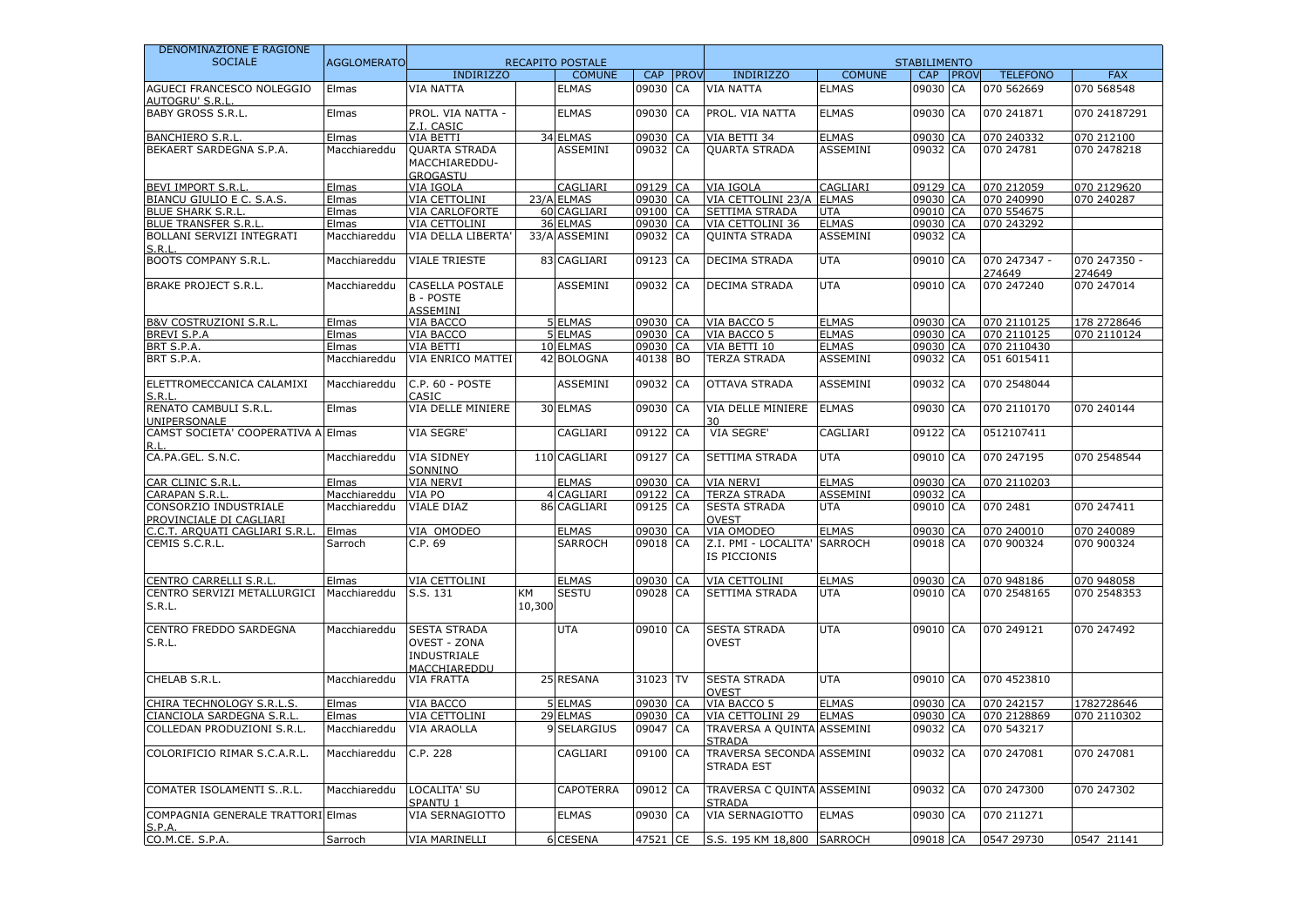| DENOMINAZIONE E RAGIONE                            |                    |                                                                           |              |                         |          |            |                                                |                 |                     |                        |                        |
|----------------------------------------------------|--------------------|---------------------------------------------------------------------------|--------------|-------------------------|----------|------------|------------------------------------------------|-----------------|---------------------|------------------------|------------------------|
| <b>SOCIALE</b>                                     | <b>AGGLOMERATO</b> |                                                                           |              | <b>RECAPITO POSTALE</b> |          |            |                                                |                 | <b>STABILIMENTO</b> |                        |                        |
|                                                    |                    | <b>INDIRIZZO</b>                                                          |              | <b>COMUNE</b>           | CAP      | PROV       | <b>INDIRIZZO</b>                               | <b>COMUNE</b>   | CAP PROV            | <b>TELEFONO</b>        | <b>FAX</b>             |
| AGUECI FRANCESCO NOLEGGIO<br><b>AUTOGRU' S.R.L</b> | Elmas              | <b>VIA NATTA</b>                                                          |              | <b>ELMAS</b>            | 09030    | CA         | <b>VIA NATTA</b>                               | <b>ELMAS</b>    | 09030 CA            | 070 562669             | 070 568548             |
| <b>BABY GROSS S.R.L.</b>                           | Elmas              | PROL. VIA NATTA -<br>Z.I. CASIC                                           |              | <b>ELMAS</b>            | 09030    | CA         | PROL. VIA NATTA                                | <b>ELMAS</b>    | 09030 CA            | 070 241871             | 070 24187291           |
| <b>BANCHIERO S.R.L</b>                             | Elmas              | VIA BETTI                                                                 |              | 34 ELMAS                | 09030    | CA         | VIA BETTI 34                                   | <b>ELMAS</b>    | 09030 CA            | 070 240332             | 070 212100             |
| BEKAERT SARDEGNA S.P.A.                            | Macchiareddu       | <b>QUARTA STRADA</b>                                                      |              | <b>ASSEMINI</b>         | 09032    | CA         | <b>OUARTA STRADA</b>                           | <b>ASSEMINI</b> | 09032 CA            | 070 24781              | 070 2478218            |
|                                                    |                    | MACCHIAREDDU-<br><b>GROGASTU</b>                                          |              |                         |          |            |                                                |                 |                     |                        |                        |
| <b>BEVI IMPORT S.R.L</b>                           | Elmas              | VIA IGOLA                                                                 |              | CAGLIARI                | 09129 CA |            | <b>VIA IGOLA</b>                               | CAGLIARI        | 09129 CA            | 070 212059             | 070 2129620            |
| BIANCU GIULIO E C. S.A.S.                          | Elmas              | VIA CETTOLINI                                                             |              | 23/A ELMAS              | 09030 CA |            | VIA CETTOLINI 23/A ELMAS                       |                 | 09030 CA            | 070 240990             | 070 240287             |
| <b>BLUE SHARK S.R.L</b>                            | Elmas              | VIA CARLOFORTE                                                            |              | 60 CAGLIARI             | 09100 CA |            | <b>SETTIMA STRADA</b>                          | <b>UTA</b>      | 09010 CA            | 070 554675             |                        |
| <b>BLUE TRANSFER S.R.L</b>                         | Elmas              | VIA CETTOLINI                                                             |              | 36 ELMAS                | 09030 CA |            | VIA CETTOLINI 36                               | <b>ELMAS</b>    | 09030 CA            | 070 243292             |                        |
| BOLLANI SERVIZI INTEGRATI<br>S.R.L                 | Macchiareddu       | VIA DELLA LIBERTA'                                                        |              | 33/A ASSEMINI           | 09032 CA |            | <b>QUINTA STRADA</b>                           | <b>ASSEMINI</b> | 09032 CA            |                        |                        |
| <b>BOOTS COMPANY S.R.L.</b>                        | Macchiareddu       | <b>VIALE TRIESTE</b>                                                      |              | 83 CAGLIARI             | 09123    | CA         | DECIMA STRADA                                  | UTA             | 09010 CA            | 070 247347 -<br>274649 | 070 247350 -<br>274649 |
| <b>BRAKE PROJECT S.R.L.</b>                        | Macchiareddu       | CASELLA POSTALE<br><b>B-POSTE</b><br><b>ASSEMINI</b>                      |              | <b>ASSEMINI</b>         | 09032 CA |            | DECIMA STRADA                                  | <b>UTA</b>      | 09010 CA            | 070 247240             | 070 247014             |
| <b>B&amp;V COSTRUZIONI S.R.L</b>                   | Elmas              | VIA BACCO                                                                 |              | 5 ELMAS                 | 09030 CA |            | VIA BACCO 5                                    | <b>ELMAS</b>    | 09030 CA            | 070 2110125            | 178 2728646            |
| <b>BREVI S.P.A</b>                                 | Elmas              | VIA BACCO                                                                 |              | 5 ELMAS                 | 09030 CA |            | VIA BACCO 5                                    | <b>ELMAS</b>    | 09030 CA            | 070 2110125            | 070 2110124            |
| BRT S.P.A.                                         | Elmas              | VIA BETTI                                                                 |              | 10 ELMAS                | 09030 CA |            | VIA BETTI 10                                   | <b>ELMAS</b>    | 09030 CA            | 070 2110430            |                        |
| BRT S.P.A.                                         | Macchiareddu       | VIA ENRICO MATTEI                                                         |              | 42 BOLOGNA              | 40138 BO |            | <b>TERZA STRADA</b>                            | ASSEMINI        | 09032 CA            | 051 6015411            |                        |
| ELETTROMECCANICA CALAMIXI<br>S.R.I                 | Macchiareddu       | C.P. 60 - POSTE<br>CASIC                                                  |              | ASSEMINI                | 09032    | CA         | OTTAVA STRADA                                  | ASSEMINI        | 09032 CA            | 070 2548044            |                        |
| RENATO CAMBULI S.R.L.<br>UNIPERSONALE              | Elmas              | VIA DELLE MINIERE                                                         |              | 30 ELMAS                | 09030    | CA         | VIA DELLE MINIERE<br>٦n                        | <b>ELMAS</b>    | 09030 CA            | 070 2110170            | 070 240144             |
| CAMST SOCIETA' COOPERATIVA A<br>R.L                | Elmas              | <b>VIA SEGRE'</b>                                                         |              | CAGLIARI                | 09122 CA |            | <b>VIA SEGRE'</b>                              | CAGLIARI        | 09122 CA            | 0512107411             |                        |
| CA.PA.GEL, S.N.C.                                  | Macchiareddu       | <b>VIA SIDNEY</b><br>SONNINO                                              |              | 110 CAGLIARI            | 09127    | CA         | <b>SETTIMA STRADA</b>                          | <b>UTA</b>      | 09010 CA            | 070 247195             | 070 2548544            |
| CAR CLINIC S.R.I                                   | Elmas              | <b>VIA NERVI</b>                                                          |              | <b>ELMAS</b>            | 09030 CA |            | <b>VIA NERVI</b>                               | <b>ELMAS</b>    | 09030 CA            | 070 2110203            |                        |
| CARAPAN S.R.L                                      | Macchiareddu       | VIA PO                                                                    |              | 4 CAGLIARI              | 09122 CA |            | <b>TERZA STRADA</b>                            | <b>ASSEMINI</b> | 09032 CA            |                        |                        |
| CONSORZIO INDUSTRIALE<br>PROVINCIALE DI CAGLIARI   | Macchiareddu       | VIALE DIAZ                                                                |              | 86 CAGLIARI             | 09125 CA |            | <b>SESTA STRADA</b><br><b>OVEST</b>            | <b>UTA</b>      | 09010 CA            | 070 2481               | 070 247411             |
| C.C.T. ARQUATI CAGLIARI S.R.L.                     | Elmas              | VIA OMODEO                                                                |              | <b>ELMAS</b>            | 09030 CA |            | VIA OMODEO                                     | <b>ELMAS</b>    | 09030 CA            | 070 240010             | 070 240089             |
| CEMIS S.C.R.L.                                     | Sarroch            | C.P. 69                                                                   |              | <b>SARROCH</b>          | 09018 CA |            | Z.I. PMI - LOCALITA'<br>IS PICCIONIS           | <b>SARROCH</b>  | 09018 CA            | 070 900324             | 070 900324             |
| <b>CENTRO CARRELLI S.R.L</b>                       | Elmas              | VIA CETTOLINI                                                             |              | <b>ELMAS</b>            | 09030 CA |            | <b>VIA CETTOLINI</b>                           | <b>ELMAS</b>    | 09030 CA            | 070 948186             | 070 948058             |
| CENTRO SERVIZI METALLURGICI<br>S.R.L.              | Macchiareddu       | S.S. 131                                                                  | KM<br>10,300 | <b>SESTU</b>            | 09028 CA |            | SETTIMA STRADA                                 | <b>UTA</b>      | 09010 CA            | 070 2548165            | 070 2548353            |
| CENTRO FREDDO SARDEGNA<br>S.R.L.                   | Macchiareddu       | <b>SESTA STRADA</b><br><b>OVEST - ZONA</b><br>INDUSTRIALE<br>MACCHIAREDDU |              | <b>UTA</b>              | 09010 CA |            | <b>SESTA STRADA</b><br><b>OVEST</b>            | <b>UTA</b>      | 09010 CA            | 070 249121             | 070 247492             |
| CHELAB S.R.L.                                      | Macchiareddu       | <b>VIA FRATTA</b>                                                         |              | 25 RESANA               | 31023    | <b>ITV</b> | <b>SESTA STRADA</b><br><b>OVEST</b>            | <b>UTA</b>      | 09010 CA            | 070 4523810            |                        |
| CHIRA TECHNOLOGY S.R.L.S                           | Elmas              | VIA BACCO                                                                 |              | 5 ELMAS                 | 09030    | CA         | VIA BACCO 5                                    | <b>ELMAS</b>    | 09030 CA            | 070 242157             | 1782728646             |
| CIANCIOLA SARDEGNA S.R.L                           | Elmas              | VIA CETTOLINI                                                             |              | 29 ELMAS                | 09030    | CA         | VIA CETTOLINI 29                               | <b>ELMAS</b>    | 09030 CA            | 070 2128869            | 070 2110302            |
| COLLEDAN PRODUZIONI S.R.L.                         | Macchiareddu       | <b>VIA ARAOLLA</b>                                                        |              | 9 SELARGIUS             | 09047 CA |            | TRAVERSA A QUINTA ASSEMINI<br><b>STRADA</b>    |                 | 09032 CA            | 070 543217             |                        |
| COLORIFICIO RIMAR S.C.A.R.L.                       | Macchiareddu       | C.P. 228                                                                  |              | CAGLIARI                | 09100 CA |            | TRAVERSA SECONDA ASSEMINI<br><b>STRADA EST</b> |                 | 09032 CA            | 070 247081             | 070 247081             |
| COMATER ISOLAMENTI S., R.L.                        | Macchiareddu       | LOCALITA' SU<br>SPANTU 1                                                  |              | <b>CAPOTERRA</b>        | 09012 CA |            | TRAVERSA C QUINTA ASSEMINI<br><b>STRADA</b>    |                 | 09032 CA            | 070 247300             | 070 247302             |
| COMPAGNIA GENERALE TRATTORI Elmas<br>S.P.A         |                    | VIA SERNAGIOTTO                                                           |              | <b>ELMAS</b>            | 09030 CA |            | VIA SERNAGIOTTO                                | <b>ELMAS</b>    | 09030 CA            | 070 211271             |                        |
| CO.M.CE. S.P.A                                     | Sarroch            | <b>VIA MARINELL</b>                                                       |              | 6 CESENA                | 47521 CE |            | S.S. 195 KM 18,800 SARROCH                     |                 | 09018 CA            | 0547 29730             | 0547 21141             |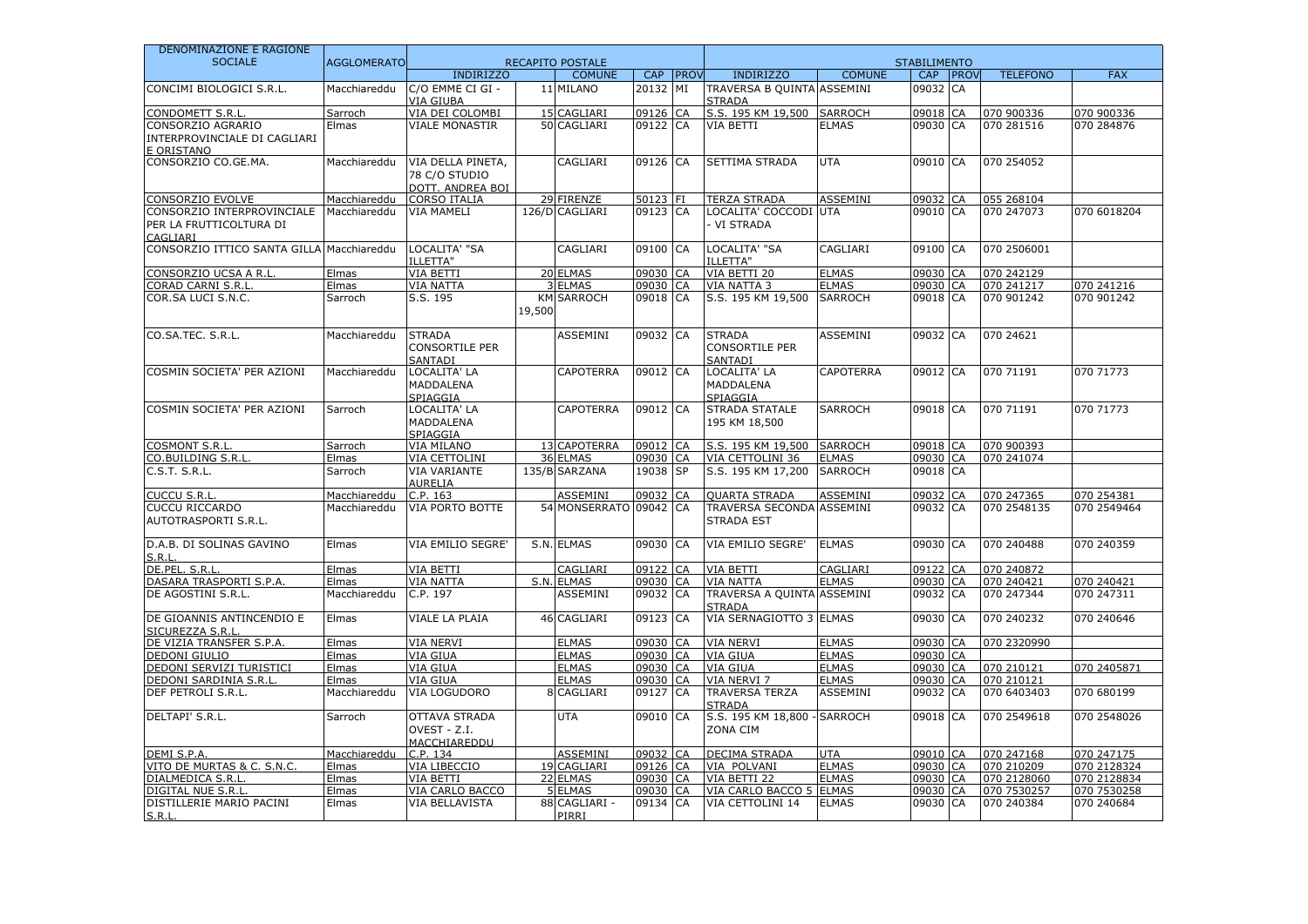| DENOMINAZIONE E RAGIONE                       |                    |                                                        |        |                          |                   |             |                                                   |                              |                      |          |                           |                           |
|-----------------------------------------------|--------------------|--------------------------------------------------------|--------|--------------------------|-------------------|-------------|---------------------------------------------------|------------------------------|----------------------|----------|---------------------------|---------------------------|
| <b>SOCIALE</b>                                | <b>AGGLOMERATO</b> |                                                        |        | <b>RECAPITO POSTALE</b>  |                   |             |                                                   |                              | <b>STABILIMENTO</b>  |          |                           |                           |
|                                               |                    | <b>INDIRIZZO</b>                                       |        | <b>COMUNE</b>            | <b>CAP</b>        | <b>PROV</b> | <b>INDIRIZZO</b>                                  | <b>COMUNE</b>                |                      | CAP PROV | <b>TELEFONO</b>           | <b>FAX</b>                |
| CONCIMI BIOLOGICI S.R.L.                      | Macchiareddu       | C/O EMME CI GI -<br>VIA GIURA                          |        | 11 MILANO                | 20132             | MI          | TRAVERSA B QUINTA ASSEMINI<br><b>STRADA</b>       |                              | 09032 CA             |          |                           |                           |
| <b>CONDOMETT S.R.L</b>                        | Sarroch            | VIA DEI COLOMBI                                        |        | 15 CAGLIARI              | 09126             | CA          | S.S. 195 KM 19,500                                | <b>SARROCH</b>               | 09018 CA             |          | 070 900336                | 070 900336                |
| CONSORZIO AGRARIO                             | Elmas              | <b>VIALE MONASTIR</b>                                  |        | 50 CAGLIARI              | 09122 CA          |             | VIA BETTI                                         | <b>ELMAS</b>                 | 09030 CA             |          | 070 281516                | 070 284876                |
| INTERPROVINCIALE DI CAGLIARI                  |                    |                                                        |        |                          |                   |             |                                                   |                              |                      |          |                           |                           |
| E ORISTANO                                    |                    |                                                        |        |                          |                   |             |                                                   |                              |                      |          |                           |                           |
| CONSORZIO CO.GE.MA.                           | Macchiareddu       | VIA DELLA PINETA,<br>78 C/O STUDIO<br>DOTT, ANDREA BOI |        | CAGLIARI                 | 09126 CA          |             | SETTIMA STRADA                                    | <b>UTA</b>                   | 09010 CA             |          | 070 254052                |                           |
| <b>CONSORZIO EVOLVE</b>                       | Macchiareddu       | <b>CORSO ITALIA</b>                                    |        | 29 FIRENZE               | 50123 FI          |             | <b>TERZA STRADA</b>                               | <b>ASSEMINI</b>              | 09032 CA             |          | 055 268104                |                           |
| CONSORZIO INTERPROVINCIALE                    | Macchiareddu       | <b>VIA MAMELI</b>                                      |        | 126/D CAGLIARI           | 09123 CA          |             | LOCALITA' COCCODI UTA                             |                              | 09010 CA             |          | 070 247073                | 070 6018204               |
| PER LA FRUTTICOLTURA DI<br>CAGLIARI           |                    |                                                        |        |                          |                   |             | VI STRADA                                         |                              |                      |          |                           |                           |
| CONSORZIO ITTICO SANTA GILLA Macchiareddu     |                    | LOCALITA' "SA<br>ILLETTA"                              |        | CAGLIARI                 | 09100             | <b>CA</b>   | LOCALITA' "SA<br>ILLETTA"                         | CAGLIARI                     | 09100 CA             |          | 070 2506001               |                           |
| CONSORZIO UCSA A R.L                          | Elmas              | VIA BETTI                                              |        | 20 ELMAS                 | 09030 CA          |             | VIA BETTI 20                                      | <b>ELMAS</b>                 | 09030 CA             |          | 070 242129                |                           |
| CORAD CARNI S.R.L                             | Elmas              | <b>VIA NATTA</b>                                       |        | 3 ELMAS                  | 09030 CA          |             | <b>VIA NATTA 3</b>                                | <b>ELMAS</b>                 | 09030 CA             |          | 070 241217                | 070 241216                |
| COR.SA LUCI S.N.C.                            | Sarroch            | S.S. 195                                               | 19,500 | <b>KM SARROCH</b>        | 09018 CA          |             | S.S. 195 KM 19,500                                | <b>SARROCH</b>               | 09018 CA             |          | 070 901242                | 070 901242                |
| CO.SA.TEC. S.R.L.                             | Macchiareddu       | <b>STRADA</b><br><b>CONSORTILE PER</b><br>SANTADI      |        | <b>ASSEMINI</b>          | 09032 CA          |             | <b>STRADA</b><br><b>CONSORTILE PER</b><br>SANTADI | <b>ASSEMINI</b>              | 09032 CA             |          | 070 24621                 |                           |
| COSMIN SOCIETA' PER AZIONI                    | Macchiareddu       | LOCALITA' LA<br><b>MADDALENA</b><br>SPIAGGIA           |        | <b>CAPOTERRA</b>         | 09012 CA          |             | LOCALITA' LA<br><b>MADDALENA</b><br>SPIAGGIA      | <b>CAPOTERRA</b>             | 09012 CA             |          | 070 71191                 | 070 71773                 |
| COSMIN SOCIETA' PER AZIONI                    | Sarroch            | LOCALITA' LA<br><b>MADDALENA</b><br>SPIAGGIA           |        | <b>CAPOTERRA</b>         | 09012 CA          |             | STRADA STATALE<br>195 KM 18,500                   | <b>SARROCH</b>               | 09018 CA             |          | 070 71191                 | 070 71773                 |
| <b>COSMONT S.R.I</b>                          | Sarroch            | VIA MILANO                                             |        | 13 CAPOTERRA             | 09012 CA          |             | S.S. 195 KM 19,500                                | <b>SARROCH</b>               | 09018 CA             |          | 070 900393                |                           |
| CO.BUILDING S.R.L                             | Elmas              | <b>VIA CETTOLINI</b>                                   |        | 36 ELMAS                 | 09030 CA          |             | VIA CETTOLINI 36                                  | <b>ELMAS</b>                 | 09030 CA             |          | 070 241074                |                           |
| C.S.T. S.R.L.                                 | Sarroch            | <b>VIA VARIANTE</b><br><b>AURELIA</b>                  |        | 135/B SARZANA            | 19038 SP          |             | S.S. 195 KM 17,200                                | <b>SARROCH</b>               | 09018 CA             |          |                           |                           |
| <b>CUCCU S.R.L</b>                            | Macchiareddu       | C.P. 163                                               |        | <b>ASSEMINI</b>          | 09032 CA          |             | <b>QUARTA STRADA</b>                              | <b>ASSEMINI</b>              | 09032 CA             |          | 070 247365                | 070 254381                |
| CUCCU RICCARDO<br>AUTOTRASPORTI S.R.L.        | Macchiareddu       | VIA PORTO BOTTE                                        |        | 54 MONSERRATO 09042 CA   |                   |             | TRAVERSA SECONDA ASSEMINI<br><b>STRADA EST</b>    |                              | 09032 CA             |          | 070 2548135               | 070 2549464               |
| D.A.B. DI SOLINAS GAVINO<br>S.R.L.            | Elmas              | VIA EMILIO SEGRE'                                      |        | S.N. ELMAS               | 09030 CA          |             | VIA EMILIO SEGRE'                                 | <b>ELMAS</b>                 | 09030 CA             |          | 070 240488                | 070 240359                |
| DE.PEL. S.R.L                                 | Elmas              | VIA BETTI                                              |        | CAGLIARI                 | 09122 CA          |             | VIA BETTI                                         | CAGLIARI                     | 09122 CA             |          | 070 240872                |                           |
| DASARA TRASPORTI S.P.A                        | Elmas              | <b>VIA NATTA</b>                                       |        | S.N. ELMAS               | 09030             | <b>CA</b>   | <b>VIA NATTA</b>                                  | <b>ELMAS</b>                 | 09030 CA             |          | 070 240421                | 070 240421                |
| DE AGOSTINI S.R.L.                            | Macchiareddu       | C.P. 197                                               |        | ASSEMINI                 | 09032 CA          |             | TRAVERSA A QUINTA ASSEMINI<br><b>STRADA</b>       |                              | 09032 CA             |          | 070 247344                | 070 247311                |
| DE GIOANNIS ANTINCENDIO E<br>SICUREZZA S.R.L  | Elmas              | VIALE LA PLAIA                                         |        | 46 CAGLIARI              | 09123             | CA          | VIA SERNAGIOTTO 3 ELMAS                           |                              | 09030 CA             |          | 070 240232                | 070 240646                |
| DE VIZIA TRANSFER S.P.A.                      | Elmas              | <b>VIA NERVI</b>                                       |        | <b>ELMAS</b>             | 09030 CA          |             | <b>VIA NERVI</b>                                  | <b>ELMAS</b>                 | 09030 CA             |          | 070 2320990               |                           |
| DEDONI GIULIO                                 | Elmas              | VIA GIUA                                               |        | <b>ELMAS</b>             | 09030 CA          |             | VIA GIUA                                          | <b>ELMAS</b>                 | 09030 CA             |          |                           |                           |
| DEDONI SERVIZI TURISTICI                      | Elmas              | <b>VIA GIUA</b>                                        |        | <b>ELMAS</b>             | 09030 CA          |             | <b>VIA GIUA</b>                                   | <b>ELMAS</b>                 | 09030 CA             |          | 070 210121                | 070 2405871               |
| DEDONI SARDINIA S.R.L                         | Elmas              | <b>VIA GIUA</b>                                        |        | <b>ELMAS</b>             | 09030 CA          |             | <b>VIA NERVI 7</b>                                | <b>ELMAS</b>                 | 09030 CA             |          | 070 210121                |                           |
| DEF PETROLI S.R.L.                            | Macchiareddu       | VIA LOGUDORO                                           |        | 8 CAGLIARI               | 09127 CA          |             | <b>TRAVERSA TERZA</b><br><b>STRADA</b>            | <b>ASSEMINI</b>              | 09032 CA             |          | 070 6403403               | 070 680199                |
| DELTAPI' S.R.L.                               | Sarroch            | <b>OTTAVA STRADA</b><br>OVEST - Z.I.<br>MACCHIAREDDU   |        | <b>UTA</b>               | 09010 CA          |             | S.S. 195 KM 18,800<br>ZONA CIM                    | <b>SARROCH</b>               | 09018 CA             |          | 070 2549618               | 070 2548026               |
| DEMI S.P.A                                    | Macchiareddu       | C.P. 134                                               |        | <b>ASSEMINI</b>          | 09032 CA          |             | <b>DECIMA STRADA</b>                              | <b>UTA</b>                   | 09010 CA             |          | 070 247168                | 070 247175                |
| VITO DE MURTAS & C. S.N.C.                    | Elmas              | VIA LIBECCIO                                           |        | 19 CAGLIARI              | 09126 CA          |             | VIA POLVANI                                       | <b>ELMAS</b>                 | 09030 CA             |          | 070 210209                | 070 2128324               |
| DIALMEDICA S.R.L.                             | Elmas              | VIA BETTI                                              |        | 22 ELMAS                 | 09030 CA          |             | VIA BETTI 22                                      | <b>ELMAS</b>                 | 09030 CA             |          | 070 2128060               | 070 2128834               |
| DIGITAL NUE S.R.L<br>DISTILLERIE MARIO PACINI | Elmas<br>Elmas     | VIA CARLO BACCO<br><b>VIA BELLAVISTA</b>               |        | 5 ELMAS<br>88 CAGLIARI - | 09030<br>09134 CA | <b>CA</b>   | VIA CARLO BACCO 5<br>VIA CETTOLINI 14             | <b>ELMAS</b><br><b>ELMAS</b> | 09030 CA<br>09030 CA |          | 070 7530257<br>070 240384 | 070 7530258<br>070 240684 |
| S.R.L                                         |                    |                                                        |        | PIRRI                    |                   |             |                                                   |                              |                      |          |                           |                           |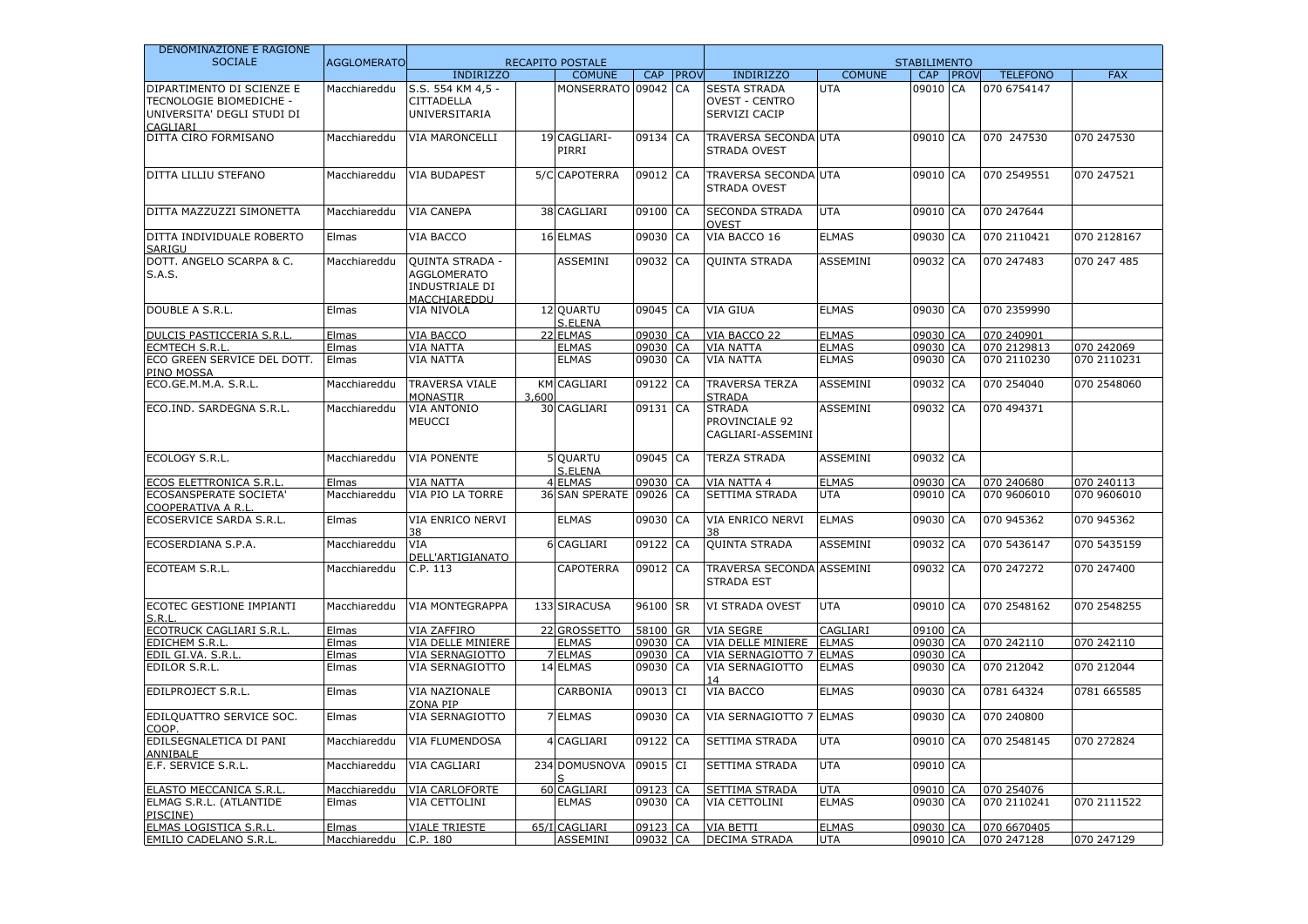| DENOMINAZIONE E RAGIONE                                                                        |                    |                                                                                       |       |                         |          |             |                                                               |                 |                     |                 |             |
|------------------------------------------------------------------------------------------------|--------------------|---------------------------------------------------------------------------------------|-------|-------------------------|----------|-------------|---------------------------------------------------------------|-----------------|---------------------|-----------------|-------------|
| <b>SOCIALE</b>                                                                                 | <b>AGGLOMERATO</b> |                                                                                       |       | <b>RECAPITO POSTALE</b> |          |             |                                                               |                 | <b>STABILIMENTO</b> |                 |             |
|                                                                                                |                    | <b>INDIRIZZO</b>                                                                      |       | <b>COMUNE</b>           | CAP      | <b>PROV</b> | <b>INDIRIZZO</b>                                              | <b>COMUNE</b>   | CAP PROV            | <b>TELEFONO</b> | <b>FAX</b>  |
| DIPARTIMENTO DI SCIENZE E<br>TECNOLOGIE BIOMEDICHE -<br>UNIVERSITA' DEGLI STUDI DI<br>CAGLIARI | Macchiareddu       | S.S. 554 KM 4,5 -<br><b>CITTADELLA</b><br>UNIVERSITARIA                               |       | MONSERRATO 09042        |          | CA          | <b>SESTA STRADA</b><br><b>OVEST - CENTRO</b><br>SERVIZI CACIP | <b>UTA</b>      | 09010 CA            | 070 6754147     |             |
| DITTA CIRO FORMISANO                                                                           | Macchiareddu       | <b>VIA MARONCELLI</b>                                                                 |       | 19 CAGLIARI-<br>PIRRI   | 09134    | CA          | <b>TRAVERSA SECONDA UTA</b><br><b>STRADA OVEST</b>            |                 | 09010 CA            | 070 247530      | 070 247530  |
| DITTA LILLIU STEFANO                                                                           | Macchiareddu       | <b>VIA BUDAPEST</b>                                                                   |       | <b>5/C CAPOTERRA</b>    | 09012    | CA          | TRAVERSA SECONDA UTA<br>STRADA OVEST                          |                 | 09010 CA            | 070 2549551     | 070 247521  |
| DITTA MAZZUZZI SIMONETTA                                                                       | Macchiareddu       | <b>VIA CANEPA</b>                                                                     |       | 38 CAGLIARI             | 09100    | CA          | <b>SECONDA STRADA</b><br><b>OVEST</b>                         | <b>UTA</b>      | 09010 CA            | 070 247644      |             |
| DITTA INDIVIDUALE ROBERTO<br>SARIGU                                                            | Elmas              | VIA BACCO                                                                             |       | 16 ELMAS                | 09030    | CA          | VIA BACCO 16                                                  | <b>ELMAS</b>    | 09030 CA            | 070 2110421     | 070 2128167 |
| DOTT. ANGELO SCARPA & C.<br>S.A.S.                                                             | Macchiareddu       | <b>QUINTA STRADA -</b><br><b>AGGLOMERATO</b><br><b>INDUSTRIALE DI</b><br>MACCHIAREDDU |       | <b>ASSEMINI</b>         | 09032    | CA          | <b>QUINTA STRADA</b>                                          | <b>ASSEMINI</b> | 09032 CA            | 070 247483      | 070 247 485 |
| DOUBLE A S.R.L.                                                                                | Elmas              | VIA NIVOLA                                                                            |       | 12 QUARTU<br>S.ELENA    | 09045 CA |             | <b>VIA GIUA</b>                                               | <b>ELMAS</b>    | 09030 CA            | 070 2359990     |             |
| DULCIS PASTICCERIA S.R.L                                                                       | <u>Elmas</u>       | VIA BACCO                                                                             |       | 22 ELMAS                | 09030    | <b>CA</b>   | VIA BACCO 22                                                  | <b>ELMAS</b>    | 09030 CA            | 070 240901      |             |
| <b>ECMTECH S.R.L</b>                                                                           | Elmas              | <b>VIA NATTA</b>                                                                      |       | <b>ELMAS</b>            | 09030    | <b>CA</b>   | <b>VIA NATTA</b>                                              | <b>ELMAS</b>    | 09030 CA            | 070 2129813     | 070 242069  |
| ECO GREEN SERVICE DEL DOTT.<br>PINO MOSSA                                                      | Elmas              | <b>VIA NATTA</b>                                                                      |       | <b>ELMAS</b>            | 09030 CA |             | <b>VIA NATTA</b>                                              | <b>ELMAS</b>    | 09030 CA            | 070 2110230     | 070 2110231 |
| ECO.GE.M.M.A. S.R.L.                                                                           | Macchiareddu       | <b>TRAVERSA VIALE</b><br><b>MONASTIR</b>                                              | 3,600 | <b>KM CAGLIARI</b>      | 09122    | CA          | <b>TRAVERSA TERZA</b><br><b>STRADA</b>                        | <b>ASSEMINI</b> | 09032 CA            | 070 254040      | 070 2548060 |
| ECO.IND. SARDEGNA S.R.L.                                                                       | Macchiareddu       | VIA ANTONIO<br><b>MEUCCI</b>                                                          |       | 30 CAGLIARI             | 09131 CA |             | <b>STRADA</b><br>PROVINCIALE 92<br>CAGLIARI-ASSEMINI          | <b>ASSEMINI</b> | 09032 CA            | 070 494371      |             |
| ECOLOGY S.R.L.                                                                                 | Macchiareddu       | <b>VIA PONENTE</b>                                                                    |       | 5 OUARTU<br>S.ELENA     | 09045 CA |             | <b>TERZA STRADA</b>                                           | <b>ASSEMINI</b> | 09032 CA            |                 |             |
| <b>ECOS ELETTRONICA S.R.I</b>                                                                  | Elmas              | <b>VIA NATTA</b>                                                                      |       | <b>ELMAS</b>            | 09030    | <b>CA</b>   | <b>VIA NATTA 4</b>                                            | <b>ELMAS</b>    | 09030 CA            | 070 240680      | 070 240113  |
| ECOSANSPERATE SOCIETA'<br>COOPERATIVA A R.I                                                    | Macchiareddu       | VIA PIO LA TORRE                                                                      |       | 36 SAN SPERATE          | 09026 CA |             | SETTIMA STRADA                                                | <b>UTA</b>      | 09010 CA            | 070 9606010     | 070 9606010 |
| ECOSERVICE SARDA S.R.L.                                                                        | Elmas              | VIA ENRICO NERVI<br>38                                                                |       | <b>ELMAS</b>            | 09030    | CA          | VIA ENRICO NERVI                                              | <b>ELMAS</b>    | 09030 CA            | 070 945362      | 070 945362  |
| ECOSERDIANA S.P.A.                                                                             | Macchiareddu       | VIA<br>DELL'ARTIGIANATO                                                               |       | 6 CAGLIARI              | 09122    | CA          | <b>OUINTA STRADA</b>                                          | <b>ASSEMINI</b> | 09032 CA            | 070 5436147     | 070 5435159 |
| ECOTEAM S.R.L.                                                                                 | Macchiareddu       | C.P. 113                                                                              |       | <b>CAPOTERRA</b>        | 09012 CA |             | <b>TRAVERSA SECONDA ASSEMINI</b><br><b>STRADA EST</b>         |                 | 09032 CA            | 070 247272      | 070 247400  |
| ECOTEC GESTIONE IMPIANTI<br>S.R.l                                                              | Macchiareddu       | <b>VIA MONTEGRAPPA</b>                                                                |       | 133 SIRACUSA            | 96100 SR |             | <b>VI STRADA OVEST</b>                                        | <b>UTA</b>      | 09010 CA            | 070 2548162     | 070 2548255 |
| ECOTRUCK CAGLIARI S.R.L                                                                        | Elmas              | VIA ZAFFIRO                                                                           |       | 22 GROSSETTO            | 58100 GR |             | <b>VIA SEGRE</b>                                              | CAGLIARI        | 09100 CA            |                 |             |
| EDICHEM S.R.L                                                                                  | Elmas              | VIA DELLE MINIERE                                                                     |       | <b>ELMAS</b>            | 09030 CA |             | <b>VIA DELLE MINIERE</b>                                      | <b>ELMAS</b>    | 09030 CA            | 070 242110      | 070 242110  |
| EDIL GI.VA. S.R.L                                                                              | <u>Elmas</u>       | VIA SERNAGIOTTO                                                                       |       | <b>7 ELMAS</b>          | 09030 CA |             | VIA SERNAGIOTTO 7                                             | <b>ELMAS</b>    | 09030 CA            |                 |             |
| EDILOR S.R.L.                                                                                  | Elmas              | VIA SERNAGIOTTO                                                                       |       | 14 ELMAS                | 09030 CA |             | VIA SERNAGIOTTO                                               | <b>ELMAS</b>    | 09030 CA            | 070 212042      | 070 212044  |
| EDILPROJECT S.R.L.                                                                             | Elmas              | <b>VIA NAZIONALE</b><br>ZONA PIP                                                      |       | CARBONIA                | 09013 CI |             | <b>VIA BACCO</b>                                              | <b>ELMAS</b>    | 09030 CA            | 0781 64324      | 0781 665585 |
| EDILQUATTRO SERVICE SOC.<br>COOP.                                                              | Elmas              | VIA SERNAGIOTTO                                                                       |       | 7 ELMAS                 | 09030    | CA          | VIA SERNAGIOTTO 7                                             | <b>ELMAS</b>    | 09030 CA            | 070 240800      |             |
| EDILSEGNALETICA DI PANI<br>ANNIBALE                                                            | Macchiareddu       | VIA FLUMENDOSA                                                                        |       | 4 CAGLIARI              | 09122    | CA          | SETTIMA STRADA                                                | <b>UTA</b>      | 09010 CA            | 070 2548145     | 070 272824  |
| E.F. SERVICE S.R.L.                                                                            | Macchiareddu       | <b>VIA CAGLIARI</b>                                                                   |       | 234 DOMUSNOVA           | 09015 CI |             | <b>SETTIMA STRADA</b>                                         | <b>UTA</b>      | 09010 CA            |                 |             |
| ELASTO MECCANICA S.R.L                                                                         | Macchiareddu       | <b>VIA CARLOFORTE</b>                                                                 |       | 60 CAGLIARI             | 09123    | CA          | SETTIMA STRADA                                                | UTA             | 09010 CA            | 070 254076      |             |
| ELMAG S.R.L. (ATLANTIDE<br>PISCINE)                                                            | Elmas              | VIA CETTOLINI                                                                         |       | <b>ELMAS</b>            | 09030 CA |             | VIA CETTOLINI                                                 | <b>ELMAS</b>    | 09030 CA            | 070 2110241     | 070 2111522 |
| ELMAS LOGISTICA S.R.L                                                                          | Elmas              | <b>VIALE TRIESTE</b>                                                                  |       | 65/I CAGLIARI           | 09123 CA |             | <b>VIA BETTI</b>                                              | <b>ELMAS</b>    | 09030 CA            | 070 6670405     |             |
| <b>EMILIO CADELANO S.R.L</b>                                                                   | Macchiareddu       | C.P. 180                                                                              |       | ASSEMINI                | 09032 CA |             | <b>DECIMA STRADA</b>                                          | <b>UTA</b>      | 09010 CA            | 070 247128      | 070 247129  |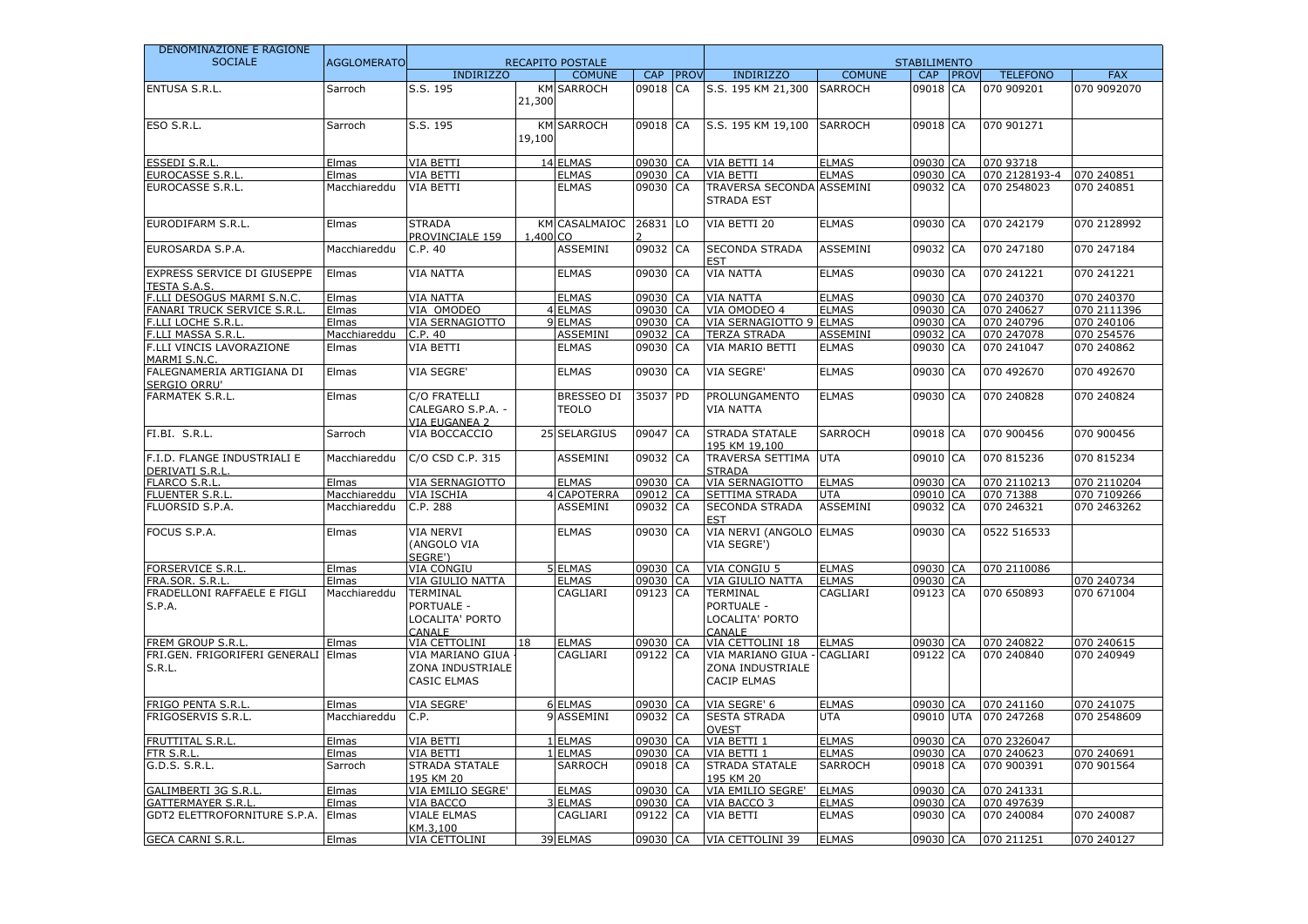| DENOMINAZIONE E RAGIONE                                  |                    |                                                                   |                       |                                   |                   |              |                                                            |                              |                      |          |                          |             |
|----------------------------------------------------------|--------------------|-------------------------------------------------------------------|-----------------------|-----------------------------------|-------------------|--------------|------------------------------------------------------------|------------------------------|----------------------|----------|--------------------------|-------------|
| <b>SOCIALE</b>                                           | <b>AGGLOMERATO</b> |                                                                   |                       | <b>RECAPITO POSTALE</b>           |                   |              |                                                            |                              | <b>STABILIMENTO</b>  |          |                          |             |
|                                                          |                    | <b>INDIRIZZO</b>                                                  |                       | <b>COMUNE</b>                     | CAP               | <b>IPROV</b> | <b>INDIRIZZO</b>                                           | <b>COMUNE</b>                |                      | CAP PROV | <b>TELEFONO</b>          | <b>FAX</b>  |
| <b>ENTUSA S.R.L.</b>                                     | Sarroch            | S.S. 195                                                          | KM<br>21,300          | <b>SARROCH</b>                    | 09018             | CA           | S.S. 195 KM 21,300                                         | <b>SARROCH</b>               | 09018 CA             |          | 070 909201               | 070 9092070 |
| ESO S.R.L.                                               | Sarroch            | S.S. 195                                                          | KM<br>19,100          | <b>SARROCH</b>                    | 09018 CA          |              | S.S. 195 KM 19,100                                         | <b>SARROCH</b>               | 09018 CA             |          | 070 901271               |             |
| <b>ESSEDI S.R.L</b>                                      | Elmas              | <b>VIA BETTI</b>                                                  |                       | 14 ELMAS                          | 09030 CA          |              | VIA BETTI 14                                               | <b>ELMAS</b>                 | 09030 CA             |          | 070 93718                |             |
| EUROCASSE S.R.L                                          | Elmas              | VIA BETTI                                                         |                       | <b>ELMAS</b>                      | 09030 CA          |              | VIA BETTI                                                  | <b>ELMAS</b>                 | 09030 CA             |          | 070 2128193-4            | 070 240851  |
| EUROCASSE S.R.L.                                         | Macchiareddu       | <b>VIA BETTI</b>                                                  |                       | <b>ELMAS</b>                      | 09030 CA          |              | TRAVERSA SECONDA ASSEMINI<br><b>STRADA EST</b>             |                              | 09032 CA             |          | 070 2548023              | 070 240851  |
| EURODIFARM S.R.L.                                        | Elmas              | <b>STRADA</b><br>PROVINCIALE 159                                  | <b>KM</b><br>1,400 CO | <b>CASALMAIOC</b>                 | 26831             | LO           | VIA BETTI 20                                               | <b>ELMAS</b>                 | 09030 CA             |          | 070 242179               | 070 2128992 |
| EUROSARDA S.P.A.                                         | Macchiareddu       | C.P.40                                                            |                       | <b>ASSEMINI</b>                   | 09032 CA          |              | <b>SECONDA STRADA</b><br><b>FST</b>                        | <b>ASSEMINI</b>              | 09032 CA             |          | 070 247180               | 070 247184  |
| EXPRESS SERVICE DI GIUSEPPE<br><b>TESTA S.A.S</b>        | Elmas              | <b>VIA NATTA</b>                                                  |                       | <b>ELMAS</b>                      | 09030             | <b>CA</b>    | <b>VIA NATTA</b>                                           | <b>ELMAS</b>                 | 09030 CA             |          | 070 241221               | 070 241221  |
| F.LLI DESOGUS MARMI S.N.C.                               | Elmas              | <b>VIA NATTA</b>                                                  |                       | <b>ELMAS</b>                      | 09030             | <b>CA</b>    | <b>VIA NATTA</b>                                           | <b>ELMAS</b>                 | 09030 CA             |          | 070 240370               | 070 240370  |
| FANARI TRUCK SERVICE S.R.L                               | Elmas              | VIA OMODEO                                                        |                       | 4 ELMAS                           | 09030 CA          |              | VIA OMODEO 4                                               | <b>ELMAS</b>                 | 09030 CA             |          | 070 240627               | 070 2111396 |
| F.LLI LOCHE S.R.L                                        | Elmas              | VIA SERNAGIOTTO                                                   |                       | 9 ELMAS                           | 09030 CA          |              | VIA SERNAGIOTTO 9 ELMAS                                    |                              | 09030 CA             |          | 070 240796               | 070 240106  |
| F.LLI MASSA S.R.L                                        | Macchiareddu       | C.P.40                                                            |                       | <b>ASSEMINI</b>                   | 09032 CA          |              | <b>TERZA STRADA</b>                                        | <b>ASSEMINI</b>              | 09032 CA             |          | 070 247078               | 070 254576  |
| F.LLI VINCIS LAVORAZIONE<br>MARMI S.N.C.                 | Elmas              | VIA BETTI                                                         |                       | <b>ELMAS</b>                      | 09030             | <b>CA</b>    | <b>VIA MARIO BETTI</b>                                     | <b>ELMAS</b>                 | 09030 CA             |          | 070 241047               | 070 240862  |
| FALEGNAMERIA ARTIGIANA DI<br><b>SERGIO ORRU'</b>         | Elmas              | <b>VIA SEGRE'</b>                                                 |                       | <b>ELMAS</b>                      | 09030             | <b>CA</b>    | <b>VIA SEGRE'</b>                                          | <b>ELMAS</b>                 | 09030 CA             |          | 070 492670               | 070 492670  |
| <b>FARMATEK S.R.L.</b>                                   | Elmas              | C/O FRATELLI<br>CALEGARO S.P.A. -<br>VIA EUGANEA 2                |                       | <b>BRESSEO DI</b><br><b>TEOLO</b> | 35037             | <b>IPD</b>   | PROLUNGAMENTO<br><b>VIA NATTA</b>                          | <b>ELMAS</b>                 | 09030 CA             |          | 070 240828               | 070 240824  |
| FI.BI. S.R.L.                                            | Sarroch            | VIA BOCCACCIO                                                     |                       | 25 SELARGIUS                      | 09047             | CA           | <b>STRADA STATALE</b><br>195 KM 19,100                     | <b>SARROCH</b>               | 09018 CA             |          | 070 900456               | 070 900456  |
| F.I.D. FLANGE INDUSTRIALI E<br>DERIVATI S.R.I            | Macchiareddu       | C/O CSD C.P. 315                                                  |                       | <b>ASSEMINI</b>                   | 09032             | CA           | TRAVERSA SETTIMA<br><b>STRADA</b>                          | <b>UTA</b>                   | 09010 CA             |          | 070 815236               | 070 815234  |
| FLARCO S.R.L.                                            | Elmas              | VIA SERNAGIOTTO                                                   |                       | <b>ELMAS</b>                      | 09030 CA          |              | VIA SERNAGIOTTO                                            | <b>ELMAS</b>                 | 09030 CA             |          | 070 2110213              | 070 2110204 |
| <b>FLUENTER S.R.L</b>                                    | Macchiareddu       | <b>VIA ISCHIA</b>                                                 |                       | 4 CAPOTERRA                       | 09012 CA          |              | SETTIMA STRADA                                             | <b>UTA</b>                   | 09010 CA             |          | 070 71388                | 070 7109266 |
| FLUORSID S.P.A.                                          | Macchiareddu       | C.P. 288                                                          |                       | ASSEMINI                          | 09032 CA          |              | <b>SECONDA STRADA</b><br><b>FST</b>                        | ASSEMINI                     | 09032 CA             |          | 070 246321               | 070 2463262 |
| FOCUS S.P.A.                                             | Elmas              | VIA NERVI<br>(ANGOLO VIA<br>SEGRE')                               |                       | <b>ELMAS</b>                      | 09030             | <b>CA</b>    | VIA NERVI (ANGOLO ELMAS<br>VIA SEGRE')                     |                              | 09030 CA             |          | 0522 516533              |             |
| <b>FORSERVICE S.R.L</b>                                  | Elmas              | <b>VIA CONGIU</b>                                                 |                       | 5 ELMAS                           | 09030 CA          |              | VIA CONGIU 5                                               | <b>ELMAS</b>                 | 09030 CA             |          | 070 2110086              |             |
| FRA.SOR, S.R.L                                           | Elmas              | <b>VIA GIULIO NATTA</b>                                           |                       | <b>ELMAS</b>                      | 09030 CA          |              | VIA GIULIO NATTA                                           | <b>ELMAS</b>                 | 09030 CA             |          |                          | 070 240734  |
| FRADELLONI RAFFAELE E FIGLI<br>S.P.A.                    | Macchiareddu       | TERMINAL<br>PORTUALE -<br>LOCALITA' PORTO<br>CANALE               |                       | CAGLIARI                          | 09123 CA          |              | TERMINAL<br>PORTUALE -<br>LOCALITA' PORTO<br>CANALE        | CAGLIARI                     | 09123 CA             |          | 070 650893               | 070 671004  |
| FREM GROUP S.R.I                                         | Elmas              | <b>VIA CETTOLINI</b>                                              | 18                    | <b>ELMAS</b>                      | 09030 CA          |              | VIA CETTOLINI 18                                           | <b>ELMAS</b>                 | 09030 CA             |          | 070 240822               | 070 240615  |
| FRI.GEN. FRIGORIFERI GENERALI Elmas<br>S.R.L.            |                    | <b>VIA MARIANO GIUA</b><br>ZONA INDUSTRIALE<br><b>CASIC ELMAS</b> |                       | CAGLIARI                          | 09122 CA          |              | VIA MARIANO GIUA<br>ZONA INDUSTRIALE<br><b>CACIP ELMAS</b> | CAGLIARI                     | 09122 CA             |          | 070 240840               | 070 240949  |
| FRIGO PENTA S.R.L                                        | Elmas              | <b>VIA SEGRE'</b>                                                 |                       | 6 ELMAS                           | 09030 CA          |              | VIA SEGRE' 6                                               | <b>ELMAS</b>                 | 09030 CA             |          | 070 241160               | 070 241075  |
| FRIGOSERVIS S.R.L.                                       | Macchiareddu       | C.P.                                                              |                       | 9 ASSEMINI                        | 09032 CA          |              | <b>SESTA STRADA</b><br><b>OVEST</b>                        | <b>UTA</b>                   | 09010 UTA            |          | 070 247268               | 070 2548609 |
| FRUTTITAL S.R.L.                                         | Elmas              | VIA BETTI                                                         |                       | 1 ELMAS                           | 09030 CA          |              | VIA BETTI 1                                                | <b>ELMAS</b>                 | 09030 CA             |          | 070 2326047              |             |
| FTR S.R.L.                                               | Elmas              | VIA BETTI                                                         |                       | 1 ELMAS                           | 09030 CA          |              | VIA BETTI 1                                                | <b>ELMAS</b>                 | 09030 CA             |          | 070 240623               | 070 240691  |
| G.D.S. S.R.L.                                            | Sarroch            | STRADA STATALE<br>195 KM 20                                       |                       | <b>SARROCH</b>                    | 09018 CA          |              | STRADA STATALE<br>195 KM 20                                | <b>SARROCH</b>               | 09018 CA             |          | 070 900391               | 070 901564  |
| <b>GALIMBERTI 3G S.R.L</b>                               | Elmas              | VIA EMILIO SEGRE'                                                 |                       | <b>ELMAS</b>                      | 09030 CA          |              | VIA EMILIO SEGRE'                                          | <b>ELMAS</b>                 | 09030 CA             |          | 070 241331               |             |
| <b>GATTERMAYER S.R.I</b><br>GDT2 ELETTROFORNITURE S.P.A. | Elmas<br>Elmas     | <b>VIA BACCO</b><br><b>VIALE ELMAS</b>                            |                       | 3 ELMAS<br>CAGLIARI               | 09030<br>09122 CA | <b>CA</b>    | VIA BACCO 3<br><b>VIA BETTI</b>                            | <b>ELMAS</b><br><b>ELMAS</b> | 09030 CA<br>09030 CA |          | 070 497639<br>070 240084 | 070 240087  |
|                                                          |                    | KM.3.100                                                          |                       |                                   |                   |              |                                                            |                              |                      |          |                          |             |
| <b>GECA CARNI S.R.L</b>                                  | Elmas              | VIA CETTOLINI                                                     |                       | 39 ELMAS                          | 09030 CA          |              | VIA CETTOLINI 39                                           | <b>ELMAS</b>                 | 09030 CA             |          | 070 211251               | 070 240127  |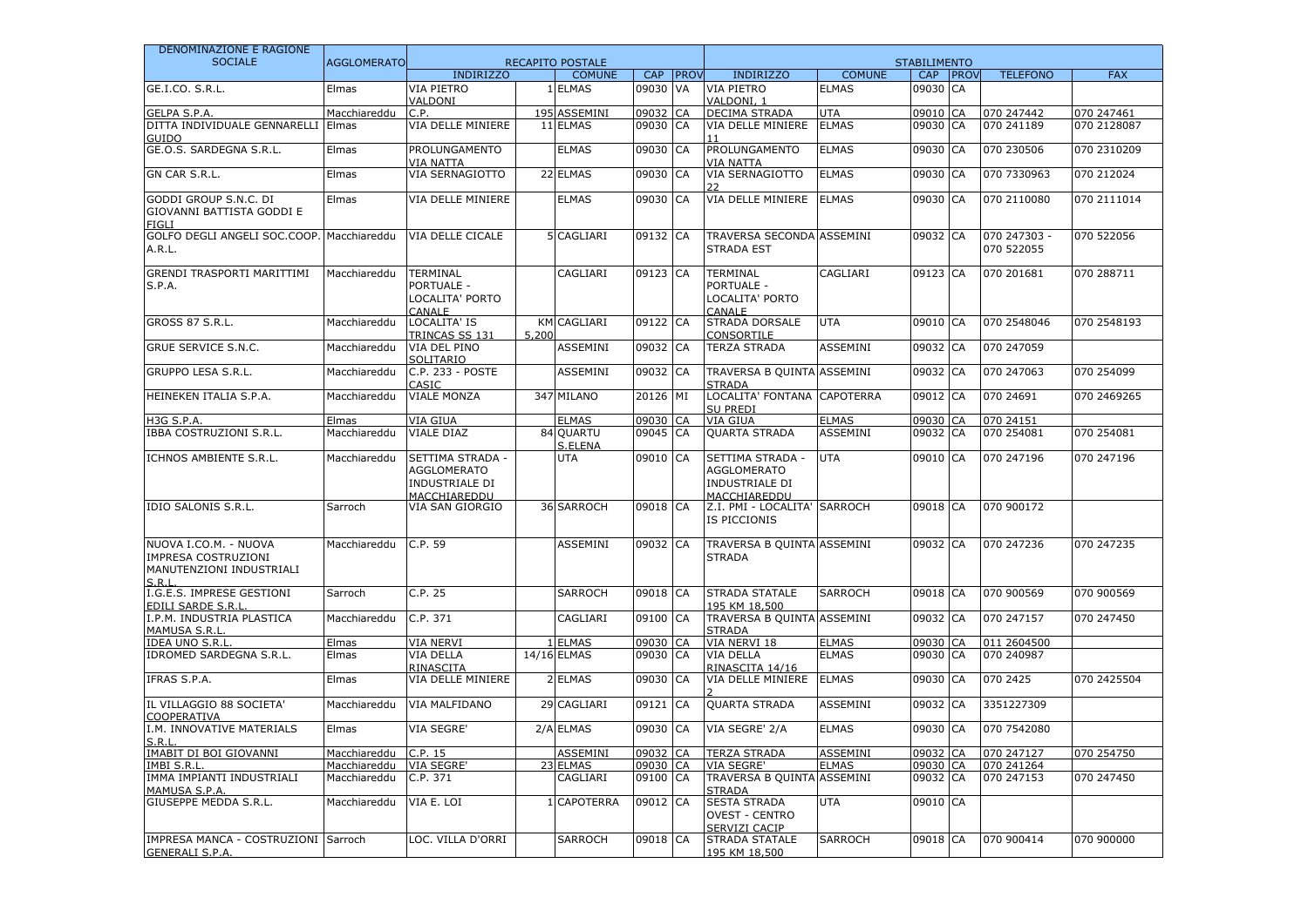| DENOMINAZIONE E RAGIONE                                                           |                    |                                                                          |       |                         |          |             |                                                                          |                 |                     |             |                            |             |
|-----------------------------------------------------------------------------------|--------------------|--------------------------------------------------------------------------|-------|-------------------------|----------|-------------|--------------------------------------------------------------------------|-----------------|---------------------|-------------|----------------------------|-------------|
| <b>SOCIALE</b>                                                                    | <b>AGGLOMERATO</b> |                                                                          |       | <b>RECAPITO POSTALE</b> |          |             |                                                                          |                 | <b>STABILIMENTO</b> |             |                            |             |
|                                                                                   |                    | <b>INDIRIZZO</b>                                                         |       | <b>COMUNE</b>           | CAP      | <b>PROV</b> | <b>INDIRIZZO</b>                                                         | <b>COMUNE</b>   | <b>CAP</b>          | <b>PROV</b> | <b>TELEFONO</b>            | <b>FAX</b>  |
| GE.I.CO. S.R.L.                                                                   | Elmas              | VIA PIETRO<br>VALDONI                                                    |       | 1 ELMAS                 | 09030 VA |             | VIA PIETRO<br>VALDONI, 1                                                 | <b>ELMAS</b>    | 09030 CA            |             |                            |             |
| GELPA S.P.A.                                                                      | Macchiareddu       | C.P.                                                                     |       | 195 ASSEMINI            | 09032    | CA          | <b>DECIMA STRADA</b>                                                     | <b>UTA</b>      | 09010 CA            |             | 070 247442                 | 070 247461  |
| DITTA INDIVIDUALE GENNARELLI<br>GUIDO                                             | Elmas              | VIA DELLE MINIERE                                                        |       | 11 ELMAS                | 09030    | CA          | VIA DELLE MINIERE<br>11                                                  | <b>ELMAS</b>    | 09030 CA            |             | 070 241189                 | 070 2128087 |
| GE.O.S. SARDEGNA S.R.L.                                                           | Elmas              | PROLUNGAMENTO<br><b>VIA NATTA</b>                                        |       | <b>ELMAS</b>            | 09030 CA |             | PROLUNGAMENTO<br><b>VIA NATTA</b>                                        | <b>ELMAS</b>    | 09030 CA            |             | 070 230506                 | 070 2310209 |
| GN CAR S.R.L.                                                                     | Elmas              | VIA SERNAGIOTTO                                                          |       | 22 ELMAS                | 09030    | CA          | VIA SERNAGIOTTO                                                          | <b>ELMAS</b>    | 09030 CA            |             | 070 7330963                | 070 212024  |
| GODDI GROUP S.N.C. DI<br>GIOVANNI BATTISTA GODDI E<br>FIGLI                       | Elmas              | VIA DELLE MINIERE                                                        |       | <b>ELMAS</b>            | 09030    | CA          | VIA DELLE MINIERE                                                        | <b>ELMAS</b>    | 09030 CA            |             | 070 2110080                | 070 2111014 |
| GOLFO DEGLI ANGELI SOC.COOP. Macchiareddu<br>A.R.L.                               |                    | VIA DELLE CICALE                                                         |       | 5 CAGLIARI              | 09132 CA |             | <b>TRAVERSA SECONDA ASSEMINI</b><br><b>STRADA EST</b>                    |                 | 09032 CA            |             | 070 247303 -<br>070 522055 | 070 522056  |
| GRENDI TRASPORTI MARITTIMI<br>S.P.A.                                              | Macchiareddu       | TERMINAL<br>PORTUALE -<br>LOCALITA' PORTO<br>CANALE                      |       | CAGLIARI                | 09123 CA |             | <b>TERMINAL</b><br>PORTUALE -<br>LOCALITA' PORTO<br>CANALE               | CAGLIARI        | 09123 CA            |             | 070 201681                 | 070 288711  |
| <b>GROSS 87 S.R.L.</b>                                                            | Macchiareddu       | LOCALITA' IS<br>TRINCAS SS 131                                           | 5,200 | <b>KM CAGLIARI</b>      | 09122 CA |             | STRADA DORSALE<br>CONSORTILE                                             | <b>UTA</b>      | 09010 CA            |             | 070 2548046                | 070 2548193 |
| <b>GRUE SERVICE S.N.C.</b>                                                        | Macchiareddu       | VIA DEL PINO<br>SOLITARIO                                                |       | ASSEMINI                | 09032 CA |             | <b>TERZA STRADA</b>                                                      | ASSEMINI        | 09032 CA            |             | 070 247059                 |             |
| <b>GRUPPO LESA S.R.L.</b>                                                         | Macchiareddu       | C.P. 233 - POSTE<br>CASIC                                                |       | ASSEMINI                | 09032    | <b>CA</b>   | TRAVERSA B QUINTA ASSEMINI<br><b>STRADA</b>                              |                 | 09032 CA            |             | 070 247063                 | 070 254099  |
| HEINEKEN ITALIA S.P.A.                                                            | Macchiareddu       | <b>VIALE MONZA</b>                                                       |       | 347 MILANO              | 20126 MI |             | LOCALITA' FONTANA CAPOTERRA<br><b>SU PREDI</b>                           |                 | 09012 CA            |             | 070 24691                  | 070 2469265 |
| <b>H3G S.P.A.</b>                                                                 | Elmas              | <b>VIA GIUA</b>                                                          |       | <b>ELMAS</b>            | 09030 CA |             | VIA GIUA                                                                 | <b>ELMAS</b>    | 09030 CA            |             | 070 24151                  |             |
| <b>IBBA COSTRUZIONI S.R.L.</b>                                                    | Macchiareddu       | VIALE DIAZ                                                               |       | 84 QUARTU<br>S.ELENA    | 09045 CA |             | <b>OUARTA STRADA</b>                                                     | ASSEMINI        | 09032 CA            |             | 070 254081                 | 070 254081  |
| ICHNOS AMBIENTE S.R.L.                                                            | Macchiareddu       | SETTIMA STRADA -<br><b>AGGLOMERATO</b><br>INDUSTRIALE DI<br>MACCHIAREDDU |       | <b>UTA</b>              | 09010 CA |             | SETTIMA STRADA -<br><b>AGGLOMERATO</b><br>INDUSTRIALE DI<br>MACCHIAREDDU | <b>UTA</b>      | 09010 CA            |             | 070 247196                 | 070 247196  |
| IDIO SALONIS S.R.L.                                                               | Sarroch            | VIA SAN GIORGIO                                                          |       | 36 SARROCH              | 09018 CA |             | Z.I. PMI - LOCALITA' SARROCH<br>IS PICCIONIS                             |                 | 09018 CA            |             | 070 900172                 |             |
| NUOVA I.CO.M. - NUOVA<br>IMPRESA COSTRUZIONI<br>MANUTENZIONI INDUSTRIALI<br>S.R.L | Macchiareddu       | C.P. 59                                                                  |       | <b>ASSEMINI</b>         | 09032 CA |             | TRAVERSA B QUINTA ASSEMINI<br><b>STRADA</b>                              |                 | 09032 CA            |             | 070 247236                 | 070 247235  |
| I.G.E.S. IMPRESE GESTIONI<br>EDILI SARDE S.R.L                                    | Sarroch            | C.P. 25                                                                  |       | <b>SARROCH</b>          | 09018 CA |             | <b>STRADA STATALE</b><br>195 KM 18,500                                   | <b>SARROCH</b>  | 09018 CA            |             | 070 900569                 | 070 900569  |
| I.P.M. INDUSTRIA PLASTICA<br>MAMUSA S.R.L                                         | Macchiareddu       | C.P. 371                                                                 |       | CAGLIARI                | 09100    | <b>CA</b>   | TRAVERSA B QUINTA ASSEMINI<br><b>STRADA</b>                              |                 | 09032 CA            |             | 070 247157                 | 070 247450  |
| <b>IDEA UNO S.R.L</b>                                                             | Elmas              | <b>VIA NERVI</b>                                                         |       | 1 ELMAS                 | 09030    | <b>ICA</b>  | VIA NERVI 18                                                             | <b>ELMAS</b>    | 09030 CA            |             | 011 2604500                |             |
| IDROMED SARDEGNA S.R.L.                                                           | Elmas              | <b>VIA DELLA</b><br>RINASCITA                                            |       | 14/16 ELMAS             | 09030 CA |             | <b>VIA DELLA</b><br>RINASCITA 14/16                                      | <b>ELMAS</b>    | 09030 CA            |             | 070 240987                 |             |
| IFRAS S.P.A.                                                                      | Elmas              | VIA DELLE MINIERE                                                        |       | 2 ELMAS                 | 09030    | CA          | VIA DELLE MINIERE                                                        | <b>ELMAS</b>    | 09030 CA            |             | 070 2425                   | 070 2425504 |
| IL VILLAGGIO 88 SOCIETA'<br>COOPERATIVA                                           | Macchiareddu       | <b>VIA MALFIDANO</b>                                                     |       | 29 CAGLIARI             | 09121 CA |             | <b>QUARTA STRADA</b>                                                     | ASSEMINI        | 09032 CA            |             | 3351227309                 |             |
| I.M. INNOVATIVE MATERIALS                                                         | Elmas              | <b>VIA SEGRE'</b>                                                        |       | 2/A ELMAS               | 09030 CA |             | VIA SEGRE' 2/A                                                           | <b>ELMAS</b>    | 09030 CA            |             | 070 7542080                |             |
| <b>IMABIT DI BOI GIOVANNI</b>                                                     | Macchiareddu       | C.P. 15                                                                  |       | <b>ASSEMINI</b>         | 09032    | <b>CA</b>   | <b>TERZA STRADA</b>                                                      | <b>ASSEMINI</b> | 09032 CA            |             | 070 247127                 | 070 254750  |
| IMBI S.R.L                                                                        | Macchiareddu       | <b>VIA SEGRE'</b>                                                        |       | 23 ELMAS                | 09030 CA |             | VIA SEGRE'                                                               | <b>ELMAS</b>    | 09030 CA            |             | 070 241264                 |             |
| IMMA IMPIANTI INDUSTRIALI<br>MAMUSA S.P.A.                                        | Macchiareddu       | C.P. 371                                                                 |       | CAGLIARI                | 09100 CA |             | TRAVERSA B QUINTA ASSEMINI<br><b>STRADA</b>                              |                 | 09032 CA            |             | 070 247153                 | 070 247450  |
| GIUSEPPE MEDDA S.R.L.                                                             | Macchiareddu       | VIA E. LOI                                                               |       | 1 CAPOTERRA             | 09012 CA |             | <b>SESTA STRADA</b><br><b>OVEST - CENTRO</b><br>SERVIZI CACIP            | <b>UTA</b>      | 09010 CA            |             |                            |             |
| IMPRESA MANCA - COSTRUZIONI Sarroch<br><b>GENERALI S.P.A.</b>                     |                    | LOC. VILLA D'ORRI                                                        |       | <b>SARROCH</b>          | 09018 CA |             | STRADA STATALE<br>195 KM 18,500                                          | SARROCH         | 09018 CA            |             | 070 900414                 | 070 900000  |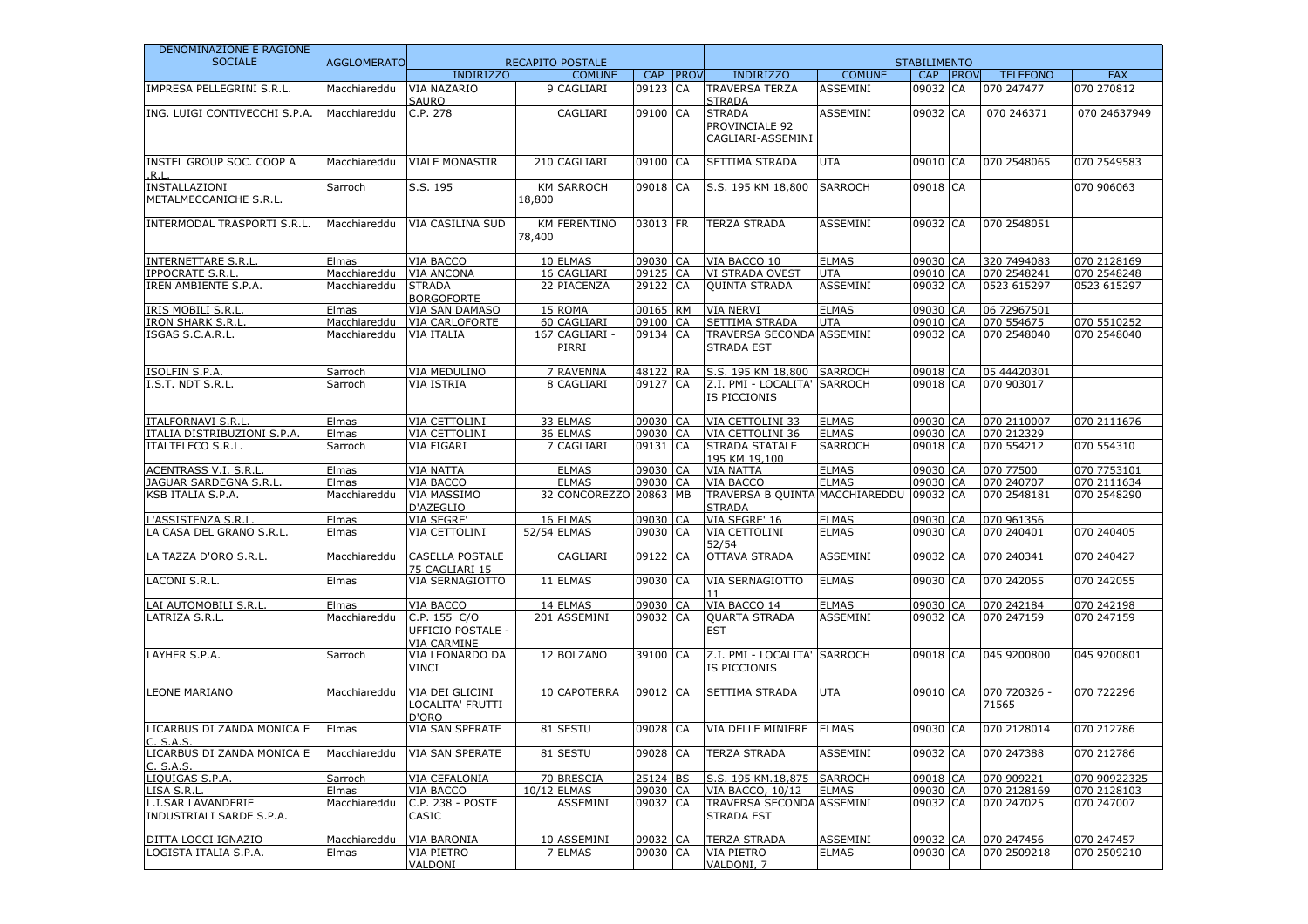| DENOMINAZIONE E RAGIONE                               |                    |                                                                |        |                         |            |             |                                                      |                 |                     |             |                       |              |
|-------------------------------------------------------|--------------------|----------------------------------------------------------------|--------|-------------------------|------------|-------------|------------------------------------------------------|-----------------|---------------------|-------------|-----------------------|--------------|
| <b>SOCIALE</b>                                        | <b>AGGLOMERATO</b> |                                                                |        | <b>RECAPITO POSTALE</b> |            |             |                                                      |                 | <b>STABILIMENTO</b> |             |                       |              |
|                                                       |                    | <b>INDIRIZZO</b>                                               |        | <b>COMUNE</b>           | <b>CAP</b> | <b>PROV</b> | <b>INDIRIZZO</b>                                     | <b>COMUNE</b>   | <b>CAP</b>          | <b>PROV</b> | <b>TELEFONO</b>       | <b>FAX</b>   |
| IMPRESA PELLEGRINI S.R.L.                             | Macchiareddu       | VIA NAZARIO<br><b>SAURO</b>                                    |        | 9 CAGLIARI              | 09123 CA   |             | <b>TRAVERSA TERZA</b><br><b>STRADA</b>               | ASSEMINI        | 09032 CA            |             | 070 247477            | 070 270812   |
| ING. LUIGI CONTIVECCHI S.P.A.                         | Macchiareddu       | C.P. 278                                                       |        | CAGLIARI                | 09100 CA   |             | <b>STRADA</b><br>PROVINCIALE 92<br>CAGLIARI-ASSEMINI | <b>ASSEMINI</b> | 09032 CA            |             | 070 246371            | 070 24637949 |
| INSTEL GROUP SOC. COOP A<br>.R.L                      | Macchiareddu       | <b>VIALE MONASTIR</b>                                          |        | 210 CAGLIARI            | 09100 CA   |             | <b>SETTIMA STRADA</b>                                | <b>UTA</b>      | 09010 CA            |             | 070 2548065           | 070 2549583  |
| INSTALLAZIONI<br>METALMECCANICHE S.R.L.               | Sarroch            | S.S. 195                                                       | 18,800 | <b>KM SARROCH</b>       | 09018 CA   |             | S.S. 195 KM 18,800                                   | <b>SARROCH</b>  | 09018 CA            |             |                       | 070 906063   |
| INTERMODAL TRASPORTI S.R.L.                           | Macchiareddu       | <b>VIA CASILINA SUD</b>                                        | 78,400 | <b>KM FERENTINO</b>     | 03013 FR   |             | <b>TERZA STRADA</b>                                  | ASSEMINI        | 09032 CA            |             | 070 2548051           |              |
| <b>INTERNETTARE S.R.L</b>                             | Elmas              | VIA BACCO                                                      |        | 10 ELMAS                | 09030 CA   |             | VIA BACCO 10                                         | <b>ELMAS</b>    | 09030 CA            |             | 320 7494083           | 070 2128169  |
| <b>IPPOCRATE S.R.L</b>                                | Macchiareddu       | <b>VIA ANCONA</b>                                              |        | 16 CAGLIARI             | 09125 CA   |             | VI STRADA OVEST                                      | <b>UTA</b>      | 09010<br>09032 CA   | CA          | 070 2548241           | 070 2548248  |
| IREN AMBIENTE S.P.A.                                  | Macchiareddu       | <b>STRADA</b><br><b>BORGOFORTE</b>                             |        | 22 PIACENZA             | 29122 CA   |             | <b>QUINTA STRADA</b>                                 | ASSEMINI        |                     |             | 0523 615297           | 0523 615297  |
| <b>IRIS MOBILI S.R.L</b>                              | Elmas              | VIA SAN DAMASO                                                 |        | 15 ROMA                 | 00165 RM   |             | <b>VIA NERVI</b>                                     | <b>ELMAS</b>    | 09030 CA            |             | 06 72967501           |              |
| <b>IRON SHARK S.R.L</b>                               | Macchiareddu       | <b>VIA CARLOFORTE</b>                                          |        | 60 CAGLIARI             | 09100 CA   |             | SETTIMA STRADA                                       | <b>UTA</b>      | 09010 CA            |             | 070 554675            | 070 5510252  |
| ISGAS S.C.A.R.L.                                      | Macchiareddu       | <b>VIA ITALIA</b>                                              |        | 167 CAGLIARI -<br>PIRRI | 09134 CA   |             | TRAVERSA SECONDA ASSEMINI<br><b>STRADA EST</b>       |                 | 09032 CA            |             | 070 2548040           | 070 2548040  |
| ISOLFIN S.P.A.                                        | Sarroch            | <b>VIA MEDULINO</b>                                            |        | 7 RAVENNA               | 48122 RA   |             | S.S. 195 KM 18,800                                   | <b>SARROCH</b>  | 09018 CA            |             | 05 44420301           |              |
| I.S.T. NDT S.R.L.                                     | Sarroch            | <b>VIA ISTRIA</b>                                              |        | 8 CAGLIARI              | 09127 CA   |             | Z.I. PMI - LOCALITA' SARROCH<br>IS PICCIONIS         |                 | 09018 CA            |             | 070 903017            |              |
| <b>ITALFORNAVI S.R.L</b>                              | Elmas              | <b>VIA CETTOLINI</b>                                           |        | 33 ELMAS                | 09030 CA   |             | VIA CETTOLINI 33                                     | <b>ELMAS</b>    | 09030 CA            |             | 070 2110007           | 070 2111676  |
| ITALIA DISTRIBUZIONI S.P.A.                           | Elmas              | VIA CETTOLINI                                                  |        | 36 ELMAS                | 09030 CA   |             | VIA CETTOLINI 36                                     | <b>ELMAS</b>    | 09030 CA            |             | 070 212329            |              |
| <b>ITALTELECO S.R.L.</b>                              | Sarroch            | VIA FIGARI                                                     |        | 7 CAGLIARI              | 09131 CA   |             | <b>STRADA STATALE</b><br>195 KM 19,100               | <b>SARROCH</b>  | 09018 CA            |             | 070 554212            | 070 554310   |
| <b>ACENTRASS V.I. S.R.L</b>                           | Elmas              | <b>VIA NATTA</b>                                               |        | <b>ELMAS</b>            | 09030 CA   |             | <b>VIA NATTA</b>                                     | <b>ELMAS</b>    | 09030 CA            |             | 070 77500             | 070 7753101  |
| JAGUAR SARDEGNA S.R.L                                 | Elmas              | <b>VIA BACCO</b>                                               |        | <b>ELMAS</b>            | 09030 CA   |             | VIA BACCO                                            | <b>ELMAS</b>    | 09030 CA            |             | 070 240707            | 070 2111634  |
| KSB ITALIA S.P.A.                                     | Macchiareddu       | <b>VIA MASSIMO</b><br>D'AZEGLIO                                |        | 32 CONCOREZZO 20863 MB  |            |             | TRAVERSA B QUINTA MACCHIAREDDU<br><b>STRADA</b>      |                 | 09032 CA            |             | 070 2548181           | 070 2548290  |
| L'ASSISTENZA S.R.L                                    | Elmas              | VIA SEGRE'                                                     |        | 16 ELMAS                | 09030 CA   |             | VIA SEGRE' 16                                        | <b>ELMAS</b>    | 09030 CA            |             | 070 961356            |              |
| LA CASA DEL GRANO S.R.L.                              | Elmas              | <b>VIA CETTOLINI</b>                                           |        | 52/54 ELMAS             | 09030 CA   |             | VIA CETTOLINI<br>52/54                               | <b>ELMAS</b>    | 09030 CA            |             | 070 240401            | 070 240405   |
| LA TAZZA D'ORO S.R.L.                                 | Macchiareddu       | <b>CASELLA POSTALE</b><br>75 CAGLIARI 15                       |        | CAGLIARI                | 09122 CA   |             | OTTAVA STRADA                                        | ASSEMINI        | 09032 CA            |             | 070 240341            | 070 240427   |
| LACONI S.R.L.                                         | Elmas              | VIA SERNAGIOTTO                                                |        | 11 ELMAS                | 09030 CA   |             | VIA SERNAGIOTTO                                      | <b>ELMAS</b>    | 09030 CA            |             | 070 242055            | 070 242055   |
| LAI AUTOMOBILI S.R.L                                  | Elmas              | VIA BACCO                                                      |        | 14 ELMAS                | 09030 CA   |             | VIA BACCO 14                                         | <b>ELMAS</b>    | 09030 CA            |             | 070 242184            | 070 242198   |
| LATRIZA S.R.L.                                        | Macchiareddu       | C.P. 155 C/O<br><b>UFFICIO POSTALE -</b><br><b>VIA CARMINE</b> |        | 201 ASSEMINI            | 09032 CA   |             | <b>QUARTA STRADA</b><br>EST                          | ASSEMINI        | 09032 CA            |             | 070 247159            | 070 247159   |
| LAYHER S.P.A.                                         | Sarroch            | VIA LEONARDO DA<br><b>VINCI</b>                                |        | 12 BOLZANO              | 39100 CA   |             | Z.I. PMI - LOCALITA' SARROCH<br>IS PICCIONIS         |                 | 09018 CA            |             | 045 9200800           | 045 9200801  |
| <b>LEONE MARIANO</b>                                  | Macchiareddu       | VIA DEI GLICINI<br>LOCALITA' FRUTTI<br>D'ORO                   |        | 10 CAPOTERRA            | 09012 CA   |             | SETTIMA STRADA                                       | <b>UTA</b>      | 09010 CA            |             | 070 720326 -<br>71565 | 070 722296   |
| LICARBUS DI ZANDA MONICA E<br><u>C. S.A.S.</u>        | Elmas              | VIA SAN SPERATE                                                |        | 81 SESTU                | 09028 CA   |             | <b>VIA DELLE MINIERE</b>                             | <b>ELMAS</b>    | 09030 CA            |             | 070 2128014           | 070 212786   |
| LICARBUS DI ZANDA MONICA E<br>C. S.A.S.               | Macchiareddu       | <b>VIA SAN SPERATE</b>                                         |        | 81 SESTU                | 09028 CA   |             | <b>TERZA STRADA</b>                                  | ASSEMINI        | 09032 CA            |             | 070 247388            | 070 212786   |
| LIOUIGAS S.P.A.                                       | Sarroch            | <b>VIA CEFALONIA</b>                                           |        | 70 BRESCIA              | 25124 BS   |             | S.S. 195 KM.18.875 SARROCH                           |                 | 09018 CA            |             | 070 909221            | 070 90922325 |
| LISA S.R.L                                            | Elmas              | VIA BACCO                                                      |        | 10/12 ELMAS             | 09030 CA   |             | <b>VIA BACCO, 10/12</b>                              | <b>ELMAS</b>    | 09030 CA            |             | 070 2128169           | 070 2128103  |
| <b>L.I.SAR LAVANDERIE</b><br>INDUSTRIALI SARDE S.P.A. | Macchiareddu       | C.P. 238 - POSTE<br>CASIC                                      |        | ASSEMINI                | 09032 CA   |             | TRAVERSA SECONDA ASSEMINI<br><b>STRADA EST</b>       |                 | 09032 CA            |             | 070 247025            | 070 247007   |
| DITTA LOCCI IGNAZIO                                   | Macchiareddu       | VIA BARONIA                                                    |        | 10 ASSEMINI             | 09032 CA   |             | <b>TERZA STRADA</b>                                  | ASSEMINI        | 09032 CA            |             | 070 247456            | 070 247457   |
| LOGISTA ITALIA S.P.A.                                 | Elmas              | VIA PIETRO<br>VALDONI                                          |        | 7 ELMAS                 | 09030 CA   |             | VIA PIETRO<br>VALDONI, 7                             | <b>ELMAS</b>    | 09030 CA            |             | 070 2509218           | 070 2509210  |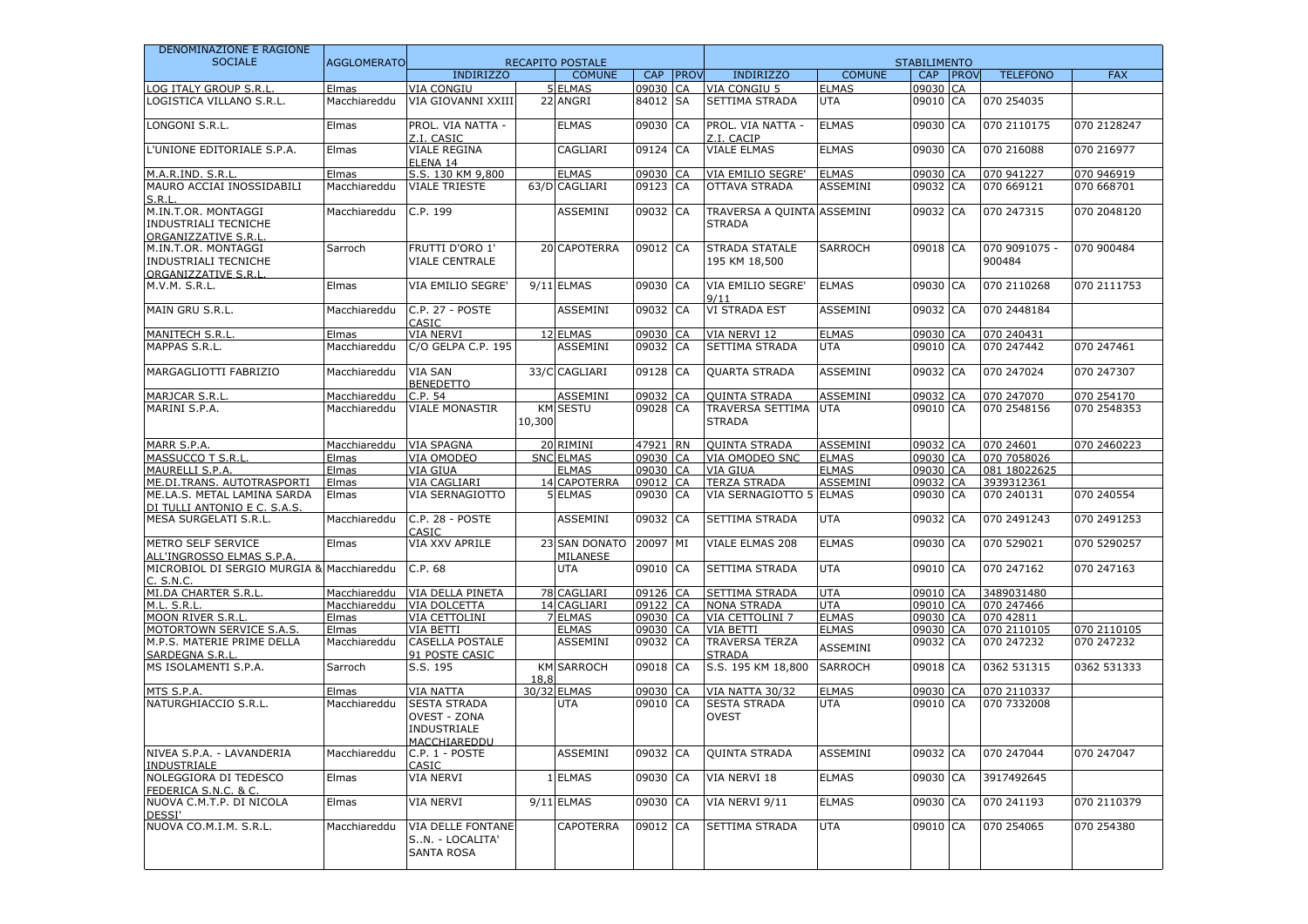| DENOMINAZIONE E RAGIONE                                                   |                    |                                                                           |        |                                  |            |             |                                             |                 |                     |             |                         |             |
|---------------------------------------------------------------------------|--------------------|---------------------------------------------------------------------------|--------|----------------------------------|------------|-------------|---------------------------------------------|-----------------|---------------------|-------------|-------------------------|-------------|
| <b>SOCIALE</b>                                                            | <b>AGGLOMERATO</b> |                                                                           |        | <b>RECAPITO POSTALE</b>          |            |             |                                             |                 | <b>STABILIMENTO</b> |             |                         |             |
|                                                                           |                    | <b>INDIRIZZO</b>                                                          |        | <b>COMUNE</b>                    | <b>CAP</b> | <b>PROV</b> | <b>INDIRIZZO</b>                            | <b>COMUNE</b>   | <b>CAP</b>          | <b>PROV</b> | <b>TELEFONO</b>         | <b>FAX</b>  |
| LOG ITALY GROUP S.R.L                                                     | Elmas              | VIA CONGIU                                                                |        | 5 ELMAS                          | 09030      | CA          | VIA CONGIU 5                                | <b>ELMAS</b>    | 09030 CA            |             |                         |             |
| LOGISTICA VILLANO S.R.L.                                                  | Macchiareddu       | VIA GIOVANNI XXIII                                                        |        | 22 ANGRI                         | 84012 SA   |             | SETTIMA STRADA                              | <b>UTA</b>      | 09010 CA            |             | 070 254035              |             |
| LONGONI S.R.L.                                                            | Elmas              | PROL. VIA NATTA -<br>Z.I. CASIC                                           |        | <b>ELMAS</b>                     | 09030      | <b>CA</b>   | PROL. VIA NATTA -<br>Z.I. CACIP             | <b>ELMAS</b>    | 09030 CA            |             | 070 2110175             | 070 2128247 |
| L'UNIONE EDITORIALE S.P.A.                                                | Elmas              | VIALE REGINA<br>ELENA 14                                                  |        | CAGLIARI                         | 09124 CA   |             | <b>VIALE ELMAS</b>                          | <b>ELMAS</b>    | 09030 CA            |             | 070 216088              | 070 216977  |
| M.A.R.IND. S.R.L                                                          | Elmas              | S.S. 130 KM 9,800                                                         |        | <b>ELMAS</b>                     | 09030      | <b>ICA</b>  | VIA EMILIO SEGRE'                           | <b>ELMAS</b>    | 09030 CA            |             | 070 941227              | 070 946919  |
| MAURO ACCIAI INOSSIDABILI<br>S.R.L                                        | Macchiareddu       | <b>VIALE TRIESTE</b>                                                      |        | 63/D CAGLIARI                    | 09123 CA   |             | OTTAVA STRADA                               | ASSEMINI        | 09032 CA            |             | 070 669121              | 070 668701  |
| M.IN.T.OR. MONTAGGI<br><b>INDUSTRIALI TECNICHE</b><br>ORGANIZZATIVE S.R.L | Macchiareddu       | C.P. 199                                                                  |        | <b>ASSEMINI</b>                  | 09032 CA   |             | TRAVERSA A QUINTA ASSEMINI<br><b>STRADA</b> |                 | 09032 CA            |             | 070 247315              | 070 2048120 |
| M.IN.T.OR. MONTAGGI<br>INDUSTRIALI TECNICHE<br>ORGANIZZATIVE S.R.L        | Sarroch            | <b>FRUTTI D'ORO 1'</b><br><b>VIALE CENTRALE</b>                           |        | 20 CAPOTERRA                     | 09012 CA   |             | <b>STRADA STATALE</b><br>195 KM 18,500      | SARROCH         | 09018 CA            |             | 070 9091075 -<br>900484 | 070 900484  |
| M.V.M. S.R.L.                                                             | Elmas              | VIA EMILIO SEGRE'                                                         |        | 9/11 ELMAS                       | 09030 CA   |             | VIA EMILIO SEGRE'<br>9/11                   | <b>ELMAS</b>    | 09030 CA            |             | 070 2110268             | 070 2111753 |
| MAIN GRU S.R.L.                                                           | Macchiareddu       | C.P. 27 - POSTE<br>CASIC                                                  |        | ASSEMINI                         | 09032      | CA          | VI STRADA EST                               | ASSEMINI        | 09032 CA            |             | 070 2448184             |             |
| <b>MANITECH S.R.L.</b>                                                    | Elmas              | <b>VIA NERVI</b>                                                          |        | 12 ELMAS                         | 09030 CA   |             | VIA NERVI 12                                | <b>ELMAS</b>    | 09030 CA            |             | 070 240431              |             |
| MAPPAS S.R.L.                                                             | Macchiareddu       | C/O GELPA C.P. 195                                                        |        | ASSEMINI                         | 09032 CA   |             | SETTIMA STRADA                              | <b>UTA</b>      | 09010 CA            |             | 070 247442              | 070 247461  |
| MARGAGLIOTTI FABRIZIO                                                     | Macchiareddu       | VIA SAN<br><b>BENEDETTO</b>                                               |        | 33/C CAGLIARI                    | 09128 CA   |             | <b>QUARTA STRADA</b>                        | <b>ASSEMINI</b> | 09032 CA            |             | 070 247024              | 070 247307  |
| MARJCAR S.R.L                                                             | Macchiareddu       | C.P. 54                                                                   |        | <b>ASSEMINI</b>                  | 09032      | CA          | <b>OUINTA STRADA</b>                        | <b>ASSEMINI</b> | 09032 CA            |             | 070 247070              | 070 254170  |
| MARINI S.P.A.                                                             | Macchiareddu       | <b>VIALE MONASTIR</b>                                                     | 10,300 | <b>KM SESTU</b>                  | 09028 CA   |             | TRAVERSA SETTIMA<br><b>STRADA</b>           | <b>UTA</b>      | 09010 CA            |             | 070 2548156             | 070 2548353 |
| MARR S.P.A                                                                | Macchiareddu       | <b>VIA SPAGNA</b>                                                         |        | 20 RIMINI                        | 47921 RN   |             | <b>OUINTA STRADA</b>                        | <b>ASSEMINI</b> | 09032 CA            |             | 070 24601               | 070 2460223 |
| MASSUCCO T S.R.L                                                          | Elmas              | VIA OMODEO                                                                |        | <b>SNC ELMAS</b>                 | 09030 CA   |             | VIA OMODEO SNC                              | <b>ELMAS</b>    | 09030 CA            |             | 070 7058026             |             |
| MAURELLI S.P.A.                                                           | Elmas              | VIA GIUA                                                                  |        | <b>ELMAS</b>                     | 09030      | CA          | VIA GIUA                                    | <b>ELMAS</b>    | 09030 CA            |             | 081 18022625            |             |
| ME.DI.TRANS. AUTOTRASPORTI                                                | Elmas              | <b>VIA CAGLIARI</b>                                                       |        | 14 CAPOTERRA                     | 09012      | CA          | <b>TERZA STRADA</b>                         | ASSEMINI        | 09032 CA            |             | 3939312361              |             |
| ME.LA.S. METAL LAMINA SARDA<br>DI TULLI ANTONIO E C. S.A.S.               | Elmas              | VIA SERNAGIOTTO                                                           |        | 5 ELMAS                          | 09030 CA   |             | VIA SERNAGIOTTO 5 ELMAS                     |                 | 09030 CA            |             | 070 240131              | 070 240554  |
| MESA SURGELATI S.R.L.                                                     | Macchiareddu       | C.P. 28 - POSTE<br>CASIC                                                  |        | ASSEMINI                         | 09032 CA   |             | SETTIMA STRADA                              | <b>UTA</b>      | 09032 CA            |             | 070 2491243             | 070 2491253 |
| METRO SELF SERVICE<br>ALL'INGROSSO ELMAS S.P.A                            | Elmas              | VIA XXV APRILE                                                            |        | 23 SAN DONATO<br><b>MILANESE</b> | 20097      | MI          | VIALE ELMAS 208                             | <b>ELMAS</b>    | 09030 CA            |             | 070 529021              | 070 5290257 |
| MICROBIOL DI SERGIO MURGIA & Macchiareddu<br>C. S.N.C.                    |                    | C.P. 68                                                                   |        | <b>UTA</b>                       | 09010 CA   |             | SETTIMA STRADA                              | <b>UTA</b>      | 09010 CA            |             | 070 247162              | 070 247163  |
| MI.DA CHARTER S.R.L                                                       | Macchiareddu       | VIA DELLA PINETA                                                          |        | 78 CAGLIARI                      | 09126 CA   |             | SETTIMA STRADA                              | <b>UTA</b>      | 09010 CA            |             | 3489031480              |             |
| M.L. S.R.L.                                                               | Macchiareddu       | VIA DOLCETTA                                                              |        | 14 CAGLIARI                      | 09122 CA   |             | <b>NONA STRADA</b>                          | <b>UTA</b>      | 09010 CA            |             | 070 247466              |             |
| <b>MOON RIVER S.R.L</b>                                                   | Elmas              | VIA CETTOLINI                                                             |        | 7 ELMAS                          | 09030 CA   |             | VIA CETTOLINI 7                             | <b>ELMAS</b>    | 09030 CA            |             | 070 42811               |             |
| MOTORTOWN SERVICE S.A.S.                                                  | Elmas              | VIA BETTI                                                                 |        | ELMAS                            | 09030      | CA          | <b>VIA BETTI</b>                            | <b>ELMAS</b>    | 09030 CA            |             | 070 2110105             | 070 2110105 |
| M.P.S. MATERIE PRIME DELLA<br>SARDEGNA S.R.L                              | Macchiareddu       | <b>CASELLA POSTALE</b><br>91 POSTE CASIC                                  |        | <b>ASSEMINI</b>                  | 09032 CA   |             | <b>TRAVERSA TERZA</b><br><b>STRADA</b>      | ASSEMINI        | 09032 CA            |             | 070 247232              | 070 247232  |
| MS ISOLAMENTI S.P.A.                                                      | Sarroch            | S.S. 195                                                                  | 18,8   | <b>KM SARROCH</b>                | 09018 CA   |             | S.S. 195 KM 18,800                          | <b>SARROCH</b>  | 09018 CA            |             | 0362 531315             | 0362 531333 |
| MTS S.P.A.                                                                | Elmas              | <b>VIA NATTA</b>                                                          |        | 30/32 ELMAS                      | 09030 CA   |             | VIA NATTA 30/32                             | <b>ELMAS</b>    | 09030 CA            |             | 070 2110337             |             |
| NATURGHIACCIO S.R.L.                                                      | Macchiareddu       | <b>SESTA STRADA</b><br><b>OVEST - ZONA</b><br>INDUSTRIALE<br>MACCHIAREDDU |        | UTA                              | 09010 CA   |             | <b>SESTA STRADA</b><br><b>OVEST</b>         | <b>UTA</b>      | 09010 CA            |             | 070 7332008             |             |
| NIVEA S.P.A. - LAVANDERIA<br>INDUSTRIALE                                  | Macchiareddu       | C.P. 1 - POSTE<br>CASIC                                                   |        | ASSEMINI                         | 09032 CA   |             | <b>QUINTA STRADA</b>                        | ASSEMINI        | 09032 CA            |             | 070 247044              | 070 247047  |
| NOLEGGIORA DI TEDESCO<br>FEDERICA S.N.C. & C.                             | Elmas              | VIA NERVI                                                                 |        | 1 ELMAS                          | 09030 CA   |             | VIA NERVI 18                                | <b>ELMAS</b>    | 09030 CA            |             | 3917492645              |             |
| NUOVA C.M.T.P. DI NICOLA<br>DESSI'                                        | Elmas              | <b>VIA NERVI</b>                                                          |        | 9/11 ELMAS                       | 09030 CA   |             | VIA NERVI 9/11                              | <b>ELMAS</b>    | 09030 CA            |             | 070 241193              | 070 2110379 |
| NUOVA CO.M.I.M. S.R.L.                                                    | Macchiareddu       | <b>VIA DELLE FONTANE</b><br>SN. - LOCALITA'<br>SANTA ROSA                 |        | <b>CAPOTERRA</b>                 | 09012 CA   |             | <b>SETTIMA STRADA</b>                       | UTA             | 09010 CA            |             | 070 254065              | 070 254380  |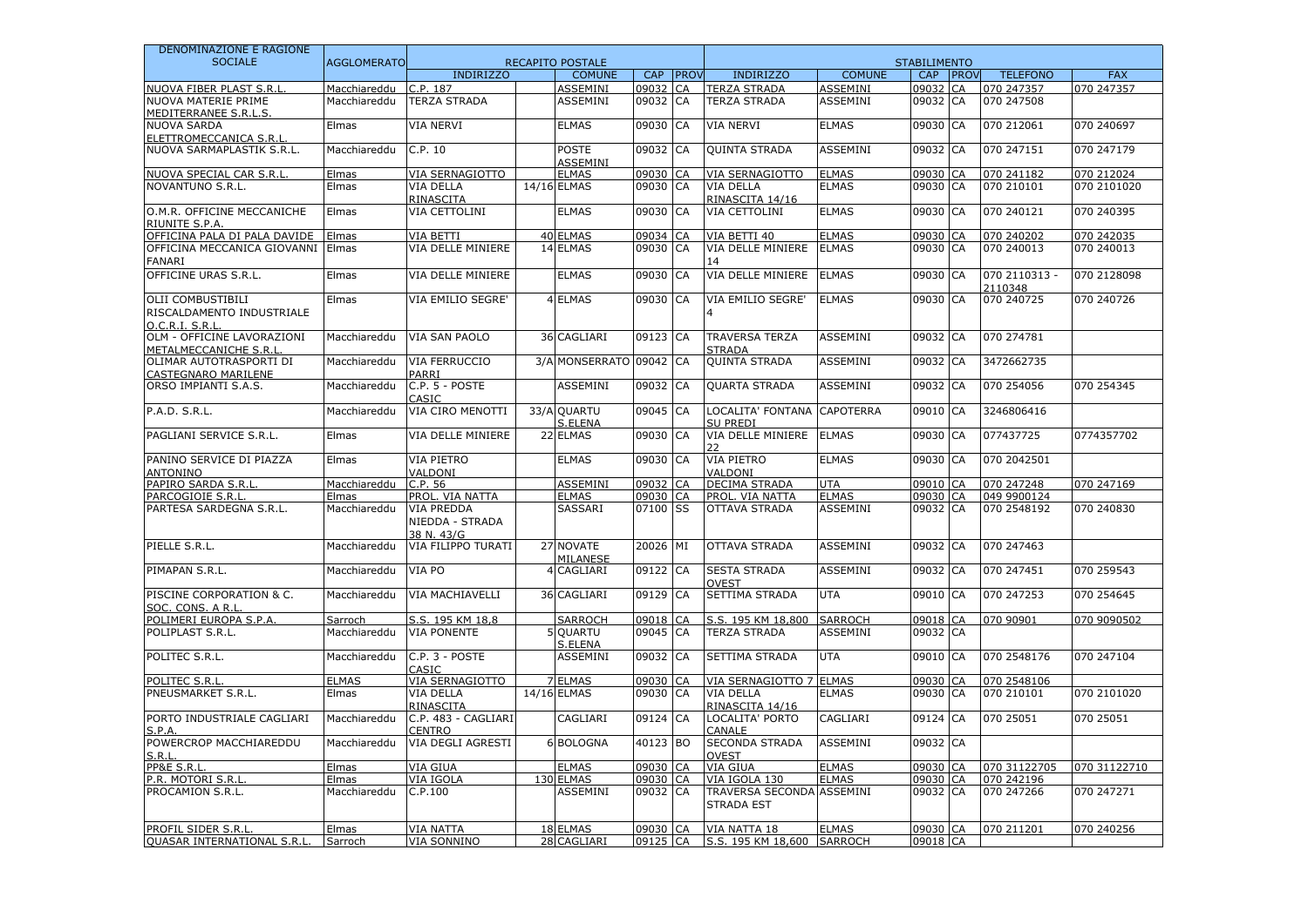| DENOMINAZIONE E RAGIONE                             |                    |                                             |                               |            |             |                                                       |                  |                     |    |                          |              |
|-----------------------------------------------------|--------------------|---------------------------------------------|-------------------------------|------------|-------------|-------------------------------------------------------|------------------|---------------------|----|--------------------------|--------------|
| <b>SOCIALE</b>                                      | <b>AGGLOMERATO</b> |                                             | <b>RECAPITO POSTALE</b>       |            |             |                                                       |                  | <b>STABILIMENTO</b> |    |                          |              |
|                                                     |                    | <b>INDIRIZZO</b>                            | <b>COMUNE</b>                 | <b>CAP</b> | <b>PROV</b> | <b>INDIRIZZO</b>                                      | <b>COMUNE</b>    | CAP PROV            |    | <b>TELEFONO</b>          | <b>FAX</b>   |
| NUOVA FIBER PLAST S.R.I                             | Macchiareddu       | C.P. 187                                    | <b>ASSEMINI</b>               | 09032      | CA          | <b>TERZA STRADA</b>                                   | ASSEMINI         | 09032               | CA | 070 247357               | 070 247357   |
| NUOVA MATERIE PRIME<br>MEDITERRANEE S.R.L.S.        | Macchiareddu       | TERZA STRADA                                | <b>ASSEMINI</b>               | 09032      | CA          | <b>TERZA STRADA</b>                                   | ASSEMINI         | 09032 CA            |    | 070 247508               |              |
| <b>NUOVA SARDA</b>                                  | Elmas              | <b>VIA NERVI</b>                            | <b>ELMAS</b>                  | 09030      | CA          | <b>VIA NERVI</b>                                      | <b>ELMAS</b>     | 09030 CA            |    | 070 212061               | 070 240697   |
| ELETTROMECCANICA S.R.I                              |                    |                                             |                               |            |             |                                                       |                  |                     |    |                          |              |
| NUOVA SARMAPLASTIK S.R.L.                           | Macchiareddu       | C.P. 10                                     | <b>POSTE</b><br>ASSEMINI      | 09032 CA   |             | <b>QUINTA STRADA</b>                                  | ASSEMINI         | 09032 CA            |    | 070 247151               | 070 247179   |
| NUOVA SPECIAL CAR S.R.I                             | Elmas              | VIA SERNAGIOTTO                             | <b>ELMAS</b>                  | 09030      | CA          | VIA SERNAGIOTTO                                       | <b>ELMAS</b>     | 09030 CA            |    | 070 241182               | 070 212024   |
| NOVANTUNO S.R.L.                                    | Elmas              | VIA DELLA<br>RINASCITA                      | 14/16 ELMAS                   | 09030      | CA          | <b>VIA DELLA</b><br>RINASCITA 14/16                   | <b>ELMAS</b>     | 09030 CA            |    | 070 210101               | 070 2101020  |
| O.M.R. OFFICINE MECCANICHE<br>RIUNITE S.P.A         | Elmas              | VIA CETTOLINI                               | <b>ELMAS</b>                  | 09030      | CA          | VIA CETTOLINI                                         | <b>ELMAS</b>     | 09030 CA            |    | 070 240121               | 070 240395   |
| OFFICINA PALA DI PALA DAVIDE                        | Elmas              | VIA BETTI                                   | 40 ELMAS                      | 09034      | CA          | VIA BETTI 40                                          | <b>ELMAS</b>     | 09030 CA            |    | 070 240202               | 070 242035   |
| OFFICINA MECCANICA GIOVANNI                         | Elmas              | VIA DELLE MINIERE                           | 14 ELMAS                      | 09030      | CA          | VIA DELLE MINIERE                                     | <b>ELMAS</b>     | 09030 CA            |    | 070 240013               | 070 240013   |
| <b>FANARI</b>                                       |                    |                                             |                               |            |             | 14                                                    |                  |                     |    |                          |              |
| OFFICINE URAS S.R.L.                                | Elmas              | VIA DELLE MINIERE                           | <b>ELMAS</b>                  | 09030      | CA          | VIA DELLE MINIERE                                     | <b>ELMAS</b>     | 09030 CA            |    | 070 2110313 -<br>2110348 | 070 2128098  |
| <b>OLII COMBUSTIBILI</b>                            | Elmas              | VIA EMILIO SEGRE'                           | 4 ELMAS                       | 09030      | <b>CA</b>   | VIA EMILIO SEGRE'                                     | <b>ELMAS</b>     | 09030 CA            |    | 070 240725               | 070 240726   |
| RISCALDAMENTO INDUSTRIALE<br>O.C.R.I.S.R.I          |                    |                                             |                               |            |             |                                                       |                  |                     |    |                          |              |
| OLM - OFFICINE LAVORAZIONI<br>METALMECCANICHE S.R.I | Macchiareddu       | <b>VIA SAN PAOLO</b>                        | 36 CAGLIARI                   | 09123      | CA          | <b>TRAVERSA TERZA</b><br><b>STRADA</b>                | <b>ASSEMINI</b>  | 09032 CA            |    | 070 274781               |              |
| OLIMAR AUTOTRASPORTI DI<br>CASTEGNARO MARILENE      | Macchiareddu       | VIA FERRUCCIO<br>PARRI                      | 3/A MONSERRATO 09042          |            | CA          | <b>QUINTA STRADA</b>                                  | ASSEMINI         | 09032 CA            |    | 3472662735               |              |
| ORSO IMPIANTI S.A.S.                                | Macchiareddu       | C.P. 5 - POSTE<br>CASIC                     | <b>ASSEMINI</b>               | 09032 CA   |             | <b>QUARTA STRADA</b>                                  | <b>ASSEMINI</b>  | 09032 CA            |    | 070 254056               | 070 254345   |
| P.A.D. S.R.L.                                       | Macchiareddu       | VIA CIRO MENOTTI                            | 33/A QUARTU<br><b>S.ELENA</b> | 09045      | CA          | LOCALITA' FONTANA<br><b>SU PREDI</b>                  | <b>CAPOTERRA</b> | 09010 CA            |    | 3246806416               |              |
| PAGLIANI SERVICE S.R.L.                             | Elmas              | VIA DELLE MINIERE                           | 22 ELMAS                      | 09030      | CA          | VIA DELLE MINIERE<br>つつ                               | <b>ELMAS</b>     | 09030 CA            |    | 077437725                | 0774357702   |
| PANINO SERVICE DI PIAZZA<br>ANTONINO                | Elmas              | <b>VIA PIETRO</b><br>VALDONI                | <b>ELMAS</b>                  | 09030      | CA          | VIA PIETRO<br>VALDONI                                 | <b>ELMAS</b>     | 09030 CA            |    | 070 2042501              |              |
| PAPIRO SARDA S.R.L                                  | Macchiareddu       | C.P. 56                                     | <b>ASSEMINI</b>               | 09032 CA   |             | <b>DECIMA STRADA</b>                                  | <b>UTA</b>       | 09010 CA            |    | 070 247248               | 070 247169   |
| PARCOGIOIE S.R.L                                    | Elmas              | PROL. VIA NATTA                             | <b>ELMAS</b>                  | 09030 CA   |             | PROL. VIA NATTA                                       | <b>ELMAS</b>     | 09030 CA            |    | 049 9900124              |              |
| PARTESA SARDEGNA S.R.L.                             | Macchiareddu       | VIA PREDDA<br>NIEDDA - STRADA<br>38 N. 43/G | SASSARI                       | 07100 SS   |             | <b>OTTAVA STRADA</b>                                  | <b>ASSEMINI</b>  | 09032 CA            |    | 070 2548192              | 070 240830   |
| PIELLE S.R.L.                                       | Macchiareddu       | VIA FILIPPO TURATI                          | 27 NOVATE<br>MILANESE         | 20026      | MI          | OTTAVA STRADA                                         | <b>ASSEMINI</b>  | 09032 CA            |    | 070 247463               |              |
| PIMAPAN S.R.L.                                      | Macchiareddu       | VIA PO                                      | 4 CAGLIARI                    | 09122      | CA          | <b>SESTA STRADA</b><br><b>OVEST</b>                   | ASSEMINI         | 09032 CA            |    | 070 247451               | 070 259543   |
| PISCINE CORPORATION & C.<br>SOC. CONS. A R.I        | Macchiareddu       | VIA MACHIAVELLI                             | 36 CAGLIARI                   | 09129      | CA          | <b>SETTIMA STRADA</b>                                 | <b>UTA</b>       | 09010 CA            |    | 070 247253               | 070 254645   |
| POLIMERI EUROPA S.P.A                               | Sarroch            | S.S. 195 KM 18.8                            | <b>SARROCH</b>                | 09018      | CA          | S.S. 195 KM 18,800                                    | <b>SARROCH</b>   | 09018 CA            |    | 070 90901                | 070 9090502  |
| POLIPLAST S.R.L.                                    | Macchiareddu       | <b>VIA PONENTE</b>                          | <b>QUARTU</b>                 | 09045      | CA          | <b>TERZA STRADA</b>                                   | <b>ASSEMINI</b>  | 09032 CA            |    |                          |              |
| POLITEC S.R.L.                                      | Macchiareddu       | C.P. 3 - POSTE                              | S.ELENA<br><b>ASSEMINI</b>    | 09032      | CA          | SETTIMA STRADA                                        | <b>UTA</b>       | 09010 CA            |    | 070 2548176              | 070 247104   |
| POLITEC S.R.L                                       | <b>ELMAS</b>       | CASIC<br>VIA SERNAGIOTTO                    | <b>7 ELMAS</b>                | 09030      | CA          | VIA SERNAGIOTTO 7 ELMAS                               |                  | 09030 CA            |    | 070 2548106              |              |
| PNEUSMARKET S.R.L.                                  | Elmas              | VIA DELLA                                   | 14/16 ELMAS                   | 09030 CA   |             | <b>VIA DELLA</b>                                      | <b>ELMAS</b>     | 09030 CA            |    | 070 210101               | 070 2101020  |
|                                                     |                    | RINASCITA                                   |                               |            |             | RINASCITA 14/16                                       |                  |                     |    |                          |              |
| PORTO INDUSTRIALE CAGLIARI<br>S.P.A                 | Macchiareddu       | C.P. 483 - CAGLIARI<br>CENTRO               | CAGLIARI                      | 09124      | CA          | LOCALITA' PORTO<br>CANALE                             | CAGLIARI         | 09124 CA            |    | 070 25051                | 070 25051    |
| POWERCROP MACCHIAREDDU<br>S.R.1                     | Macchiareddu       | VIA DEGLI AGRESTI                           | 6 BOLOGNA                     | 40123      | <b>BO</b>   | <b>SECONDA STRADA</b><br><b>OVEST</b>                 | ASSEMINI         | 09032 CA            |    |                          |              |
| <b>PP&amp;E S.R.</b>                                | Elmas              | VIA GIUA                                    | <b>ELMAS</b>                  | 09030      | CA          | VIA GIUA                                              | <b>ELMAS</b>     | 09030 CA            |    | 070 31122705             | 070 31122710 |
| P.R. MOTORI S.R.L                                   | Elmas              | VIA IGOLA                                   | 130 ELMAS                     | 09030 CA   |             | VIA IGOLA 130                                         | <b>ELMAS</b>     | 09030 CA            |    | 070 242196               |              |
| <b>PROCAMION S.R.L.</b>                             | Macchiareddu       | C.P.100                                     | <b>ASSEMINI</b>               | 09032 CA   |             | <b>TRAVERSA SECONDA ASSEMINI</b><br><b>STRADA EST</b> |                  | 09032 CA            |    | 070 247266               | 070 247271   |
| PROFIL SIDER S.R.I                                  | Elmas              | VIA NATTA                                   | 18 ELMAS                      | 09030 CA   |             | VIA NATTA 18                                          | <b>ELMAS</b>     | 09030 CA            |    | 070 211201               | 070 240256   |
| <b>QUASAR INTERNATIONAL S.R.I</b>                   | Sarroch            | <b>VIA SONNINO</b>                          | 28 CAGLIARI                   | 09125 CA   |             | S.S. 195 KM 18,600 SARROCH                            |                  | 09018 CA            |    |                          |              |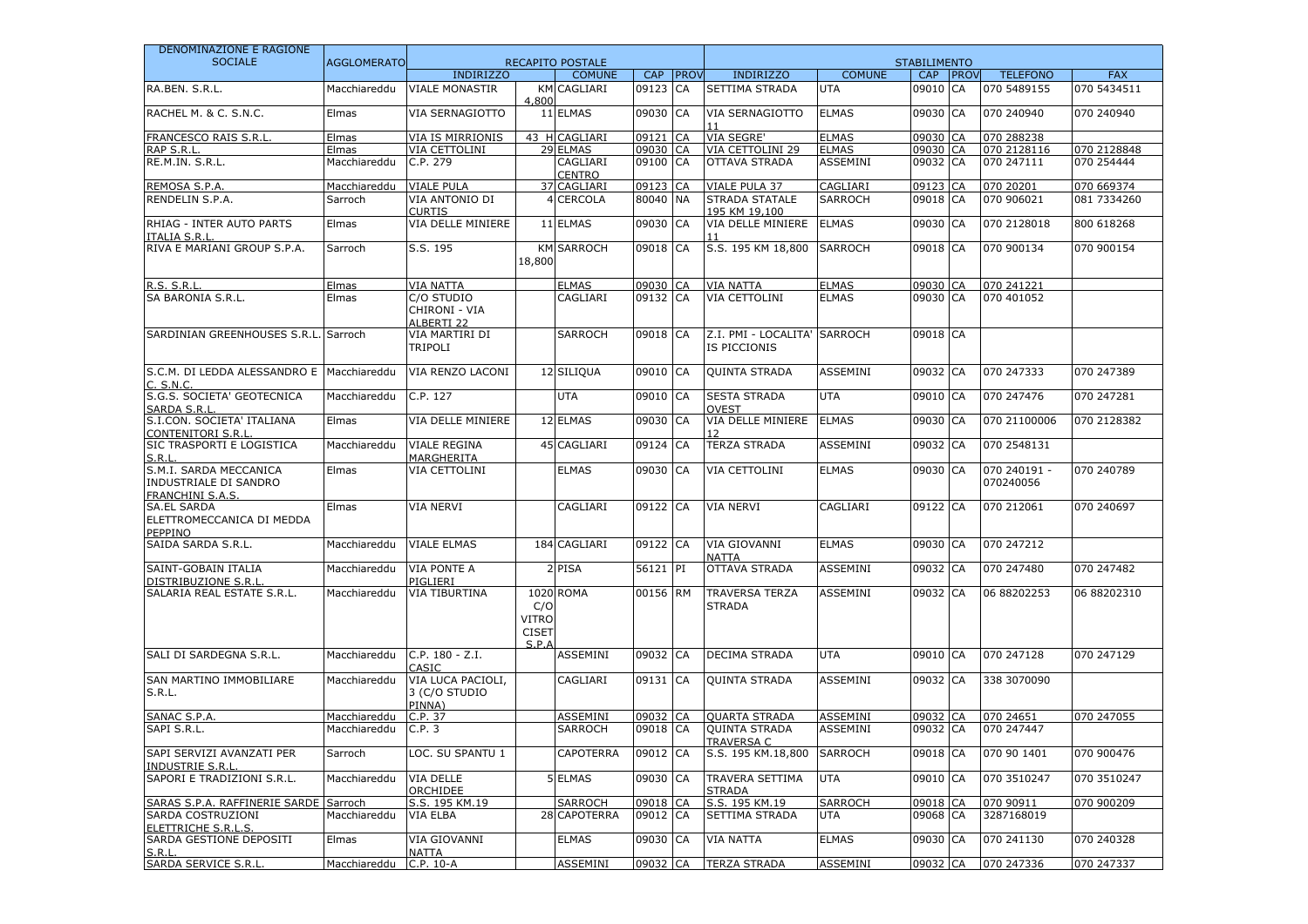| DENOMINAZIONE E RAGIONE                                                    |                    |                                                  |                                                         |                           |          |             |                                           |                 |                     |              |                           |             |
|----------------------------------------------------------------------------|--------------------|--------------------------------------------------|---------------------------------------------------------|---------------------------|----------|-------------|-------------------------------------------|-----------------|---------------------|--------------|---------------------------|-------------|
| <b>SOCIALE</b>                                                             | <b>AGGLOMERATO</b> |                                                  |                                                         | <b>RECAPITO POSTALE</b>   |          |             |                                           |                 | <b>STABILIMENTO</b> |              |                           |             |
|                                                                            |                    | <b>INDIRIZZO</b>                                 |                                                         | <b>COMUNE</b>             | CAP      | <b>PROV</b> | <b>INDIRIZZO</b>                          | <b>COMUNE</b>   | <b>CAP</b>          | <b>IPROV</b> | <b>TELEFONO</b>           | <b>FAX</b>  |
| RA.BEN. S.R.L.                                                             | Macchiareddu       | <b>VIALE MONASTIR</b>                            | KM<br>4,800                                             | CAGLIARI                  | 09123    | <b>CA</b>   | SETTIMA STRADA                            | <b>UTA</b>      | 09010 CA            |              | 070 5489155               | 070 5434511 |
| RACHEL M. & C. S.N.C.                                                      | Elmas              | VIA SERNAGIOTTO                                  |                                                         | 11 ELMAS                  | 09030    | <b>CA</b>   | VIA SERNAGIOTTO                           | <b>ELMAS</b>    | 09030 CA            |              | 070 240940                | 070 240940  |
| <b>FRANCESCO RAIS S.R.L</b>                                                | Elmas              | VIA IS MIRRIONIS                                 |                                                         | 43 H CAGLIARI             | 09121    | <b>CA</b>   | VIA SEGRE'                                | <b>ELMAS</b>    | 09030 CA            |              | 070 288238                |             |
| RAP S.R.L                                                                  | Elmas              | VIA CETTOLINI                                    |                                                         | 29 ELMAS                  | 09030 CA |             | VIA CETTOLINI 29                          | <b>ELMAS</b>    | 09030 CA            |              | 070 2128116               | 070 2128848 |
| RE.M.IN. S.R.L.                                                            | Macchiareddu       | C.P. 279                                         |                                                         | CAGLIARI<br><b>CENTRO</b> | 09100 CA |             | OTTAVA STRADA                             | ASSEMINI        | 09032 CA            |              | 070 247111                | 070 254444  |
| REMOSA S.P.A                                                               | Macchiareddu       | <b>VIALE PULA</b>                                |                                                         | 37 CAGLIARI               | 09123 CA |             | <b>VIALE PULA 37</b>                      | CAGLIARI        | 09123 CA            |              | 070 20201                 | 070 669374  |
| RENDELIN S.P.A.                                                            | Sarroch            | VIA ANTONIO DI<br><b>CURTIS</b>                  |                                                         | 4 CERCOLA                 | 80040 NA |             | <b>STRADA STATALE</b><br>195 KM 19,100    | SARROCH         | 09018 CA            |              | 070 906021                | 081 7334260 |
| RHIAG - INTER AUTO PARTS<br><b>ITALIA S.R.L</b>                            | Elmas              | VIA DELLE MINIERE                                |                                                         | 11 ELMAS                  | 09030 CA |             | VIA DELLE MINIERE                         | <b>ELMAS</b>    | 09030 CA            |              | 070 2128018               | 800 618268  |
| RIVA E MARIANI GROUP S.P.A.                                                | Sarroch            | S.S. 195                                         | 18,800                                                  | <b>KM SARROCH</b>         | 09018 CA |             | S.S. 195 KM 18,800                        | <b>SARROCH</b>  | 09018 CA            |              | 070 900134                | 070 900154  |
| R.S. S.R.L                                                                 | Elmas              | <b>VIA NATTA</b>                                 |                                                         | <b>ELMAS</b>              | 09030 CA |             | <b>VIA NATTA</b>                          | <b>ELMAS</b>    | 09030 CA            |              | 070 241221                |             |
| SA BARONIA S.R.L.                                                          | Elmas              | C/O STUDIO<br>CHIRONI - VIA<br><b>ALBERTI 22</b> |                                                         | CAGLIARI                  | 09132 CA |             | VIA CETTOLINI                             | <b>ELMAS</b>    | 09030 CA            |              | 070 401052                |             |
| SARDINIAN GREENHOUSES S.R.L.                                               | Sarroch            | VIA MARTIRI DI<br>TRIPOLI                        |                                                         | <b>SARROCH</b>            | 09018 CA |             | Z.I. PMI - LOCALITA'<br>IS PICCIONIS      | <b>SARROCH</b>  | 09018 CA            |              |                           |             |
| S.C.M. DI LEDDA ALESSANDRO E<br>C. S.N.C.                                  | Macchiareddu       | VIA RENZO LACONI                                 |                                                         | 12 SILIQUA                | 09010 CA |             | <b>QUINTA STRADA</b>                      | <b>ASSEMINI</b> | 09032 CA            |              | 070 247333                | 070 247389  |
| S.G.S. SOCIETA' GEOTECNICA<br>SARDA S.R.L                                  | Macchiareddu       | C.P. 127                                         |                                                         | <b>UTA</b>                | 09010 CA |             | <b>SESTA STRADA</b><br><b>OVEST</b>       | <b>UTA</b>      | 09010 CA            |              | 070 247476                | 070 247281  |
| S.I.CON. SOCIETA' ITALIANA<br><b>CONTENITORI S.R.L</b>                     | Elmas              | VIA DELLE MINIERE                                |                                                         | 12 ELMAS                  | 09030    | CA          | VIA DELLE MINIERE                         | <b>ELMAS</b>    | 09030 CA            |              | 070 21100006              | 070 2128382 |
| SIC TRASPORTI E LOGISTICA<br>S.R.L                                         | Macchiareddu       | <b>VIALE REGINA</b><br>MARGHERITA                |                                                         | 45 CAGLIARI               | 09124    | <b>CA</b>   | TERZA STRADA                              | ASSEMINI        | 09032 CA            |              | 070 2548131               |             |
| S.M.I. SARDA MECCANICA<br>INDUSTRIALE DI SANDRO<br><b>FRANCHINI S.A.S.</b> | Elmas              | <b>VIA CETTOLINI</b>                             |                                                         | <b>ELMAS</b>              | 09030 CA |             | VIA CETTOLINI                             | <b>ELMAS</b>    | 09030 CA            |              | 070 240191 -<br>070240056 | 070 240789  |
| <b>SA.EL SARDA</b><br>ELETTROMECCANICA DI MEDDA<br><b>PEPPINO</b>          | Elmas              | VIA NERVI                                        |                                                         | CAGLIARI                  | 09122 CA |             | <b>VIA NERVI</b>                          | CAGLIARI        | 09122 CA            |              | 070 212061                | 070 240697  |
| SAIDA SARDA S.R.L.                                                         | Macchiareddu       | <b>VIALE ELMAS</b>                               |                                                         | 184 CAGLIARI              | 09122 CA |             | VIA GIOVANNI<br><b>NATTA</b>              | <b>ELMAS</b>    | 09030 CA            |              | 070 247212                |             |
| SAINT-GOBAIN ITALIA<br>DISTRIBUZIONE S.R.L                                 | Macchiareddu       | VIA PONTE A<br>PIGLIERI                          |                                                         | 2 PISA                    | 56121    | PI          | <b>OTTAVA STRADA</b>                      | ASSEMINI        | 09032 CA            |              | 070 247480                | 070 247482  |
| SALARIA REAL ESTATE S.R.L.                                                 | Macchiareddu       | <b>VIA TIBURTINA</b>                             | C/O<br><b>VITRO</b><br><b>CISET</b><br>$S$ $P$ $\Delta$ | 1020 ROMA                 | 00156 RM |             | <b>TRAVERSA TERZA</b><br><b>STRADA</b>    | ASSEMINI        | 09032 CA            |              | 06 88202253               | 06 88202310 |
| SALI DI SARDEGNA S.R.L.                                                    | Macchiareddu       | C.P. 180 - Z.I.<br>CASIC                         |                                                         | ASSEMINI                  | 09032 CA |             | <b>DECIMA STRADA</b>                      | <b>UTA</b>      | 09010 CA            |              | 070 247128                | 070 247129  |
| SAN MARTINO IMMOBILIARE<br>S.R.L.                                          | Macchiareddu       | VIA LUCA PACIOLI,<br>3 (C/O STUDIO<br>PINNA)     |                                                         | CAGLIARI                  | 09131 CA |             | <b>QUINTA STRADA</b>                      | ASSEMINI        | 09032 CA            |              | 338 3070090               |             |
| SANAC S.P.A.                                                               | Macchiareddu       | C.P. 37                                          |                                                         | <b>ASSEMINI</b>           | 09032 CA |             | <b>QUARTA STRADA</b>                      | <b>ASSEMINI</b> | 09032 CA            |              | 070 24651                 | 070 247055  |
| SAPI S.R.L.                                                                | Macchiareddu       | C.P.3                                            |                                                         | <b>SARROCH</b>            | 09018 CA |             | <b>QUINTA STRADA</b><br><b>TRAVERSA C</b> | ASSEMINI        | 09032 CA            |              | 070 247447                |             |
| SAPI SERVIZI AVANZATI PER<br><b>INDUSTRIE S.R.L</b>                        | Sarroch            | LOC. SU SPANTU 1                                 |                                                         | <b>CAPOTERRA</b>          | 09012 CA |             | S.S. 195 KM.18,800                        | SARROCH         | 09018 CA            |              | 070 90 1401               | 070 900476  |
| SAPORI E TRADIZIONI S.R.L.                                                 | Macchiareddu       | VIA DELLE<br><b>ORCHIDEE</b>                     |                                                         | 5 ELMAS                   | 09030 CA |             | TRAVERA SETTIMA<br><b>STRADA</b>          | <b>UTA</b>      | 09010 CA            |              | 070 3510247               | 070 3510247 |
| SARAS S.P.A. RAFFINERIE SARDE                                              | Sarroch            | S.S. 195 KM.19                                   |                                                         | <b>SARROCH</b>            | 09018 CA |             | S.S. 195 KM.19                            | <b>SARROCH</b>  | 09018 CA            |              | 070 90911                 | 070 900209  |
| SARDA COSTRUZIONI<br>ELETTRICHE S.R.L.S.                                   | Macchiareddu       | <b>VIA ELBA</b>                                  |                                                         | 28 CAPOTERRA              | 09012 CA |             | SETTIMA STRADA                            | UTA             | 09068 CA            |              | 3287168019                |             |
| SARDA GESTIONE DEPOSITI<br>S.R.L                                           | Elmas              | VIA GIOVANNI<br>NATTA                            |                                                         | <b>ELMAS</b>              | 09030 CA |             | <b>VIA NATTA</b>                          | <b>ELMAS</b>    | 09030 CA            |              | 070 241130                | 070 240328  |
| SARDA SERVICE S.R.L                                                        | Macchiareddu       | $\overline{C}$ .P. 10-A                          |                                                         | <b>ASSEMINI</b>           | 09032 CA |             | <b>TERZA STRADA</b>                       | <b>ASSEMINI</b> | 09032 CA            |              | 070 247336                | 070 247337  |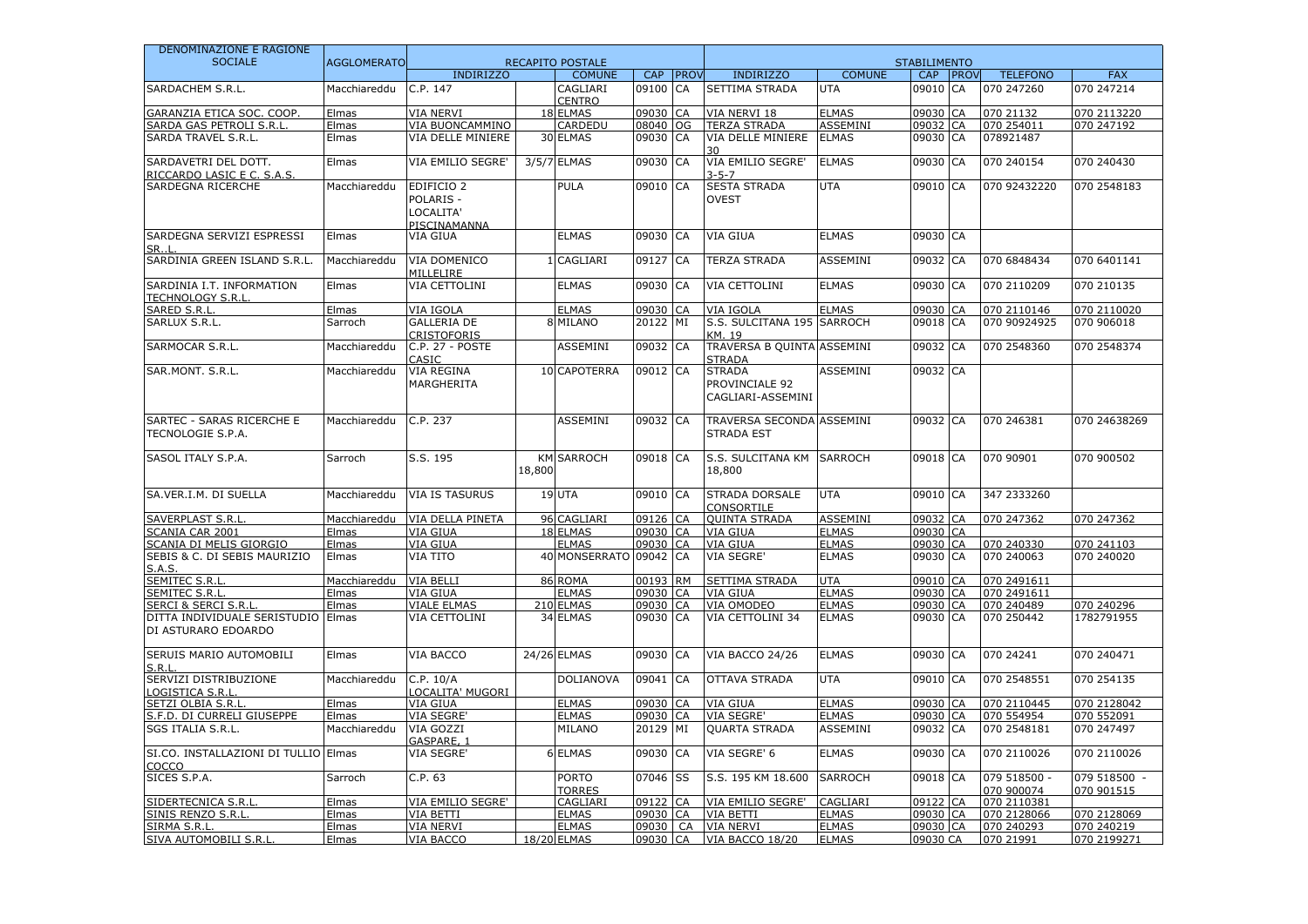| DENOMINAZIONE E RAGIONE                                                                     |                    |                                                                 | <b>RECAPITO POSTALE</b> |                               |                      |              |                                                      |                              |                                   |             |                            |                            |
|---------------------------------------------------------------------------------------------|--------------------|-----------------------------------------------------------------|-------------------------|-------------------------------|----------------------|--------------|------------------------------------------------------|------------------------------|-----------------------------------|-------------|----------------------------|----------------------------|
| <b>SOCIALE</b>                                                                              | <b>AGGLOMERATO</b> | <b>INDIRIZZO</b>                                                |                         | <b>COMUNE</b>                 | <b>CAP</b>           | <b>IPROV</b> | <b>INDIRIZZO</b>                                     | <b>COMUNE</b>                | <b>STABILIMENTO</b><br><b>CAP</b> | <b>PROV</b> | <b>TELEFONO</b>            | <b>FAX</b>                 |
| SARDACHEM S.R.L.                                                                            | Macchiareddu       | C.P. 147                                                        |                         | CAGLIARI<br><b>CENTRO</b>     | 09100                | CA           | SETTIMA STRADA                                       | <b>UTA</b>                   | 09010                             | CA          | 070 247260                 | 070 247214                 |
| GARANZIA ETICA SOC. COOP.                                                                   | Elmas              | <b>VIA NERVI</b>                                                |                         | 18 ELMAS                      | 09030 CA             |              | VIA NERVI 18                                         | <b>ELMAS</b>                 | 09030 CA                          |             | 070 21132                  | 070 2113220                |
| SARDA GAS PETROLI S.R.L                                                                     | Elmas              | VIA BUONCAMMINO                                                 |                         | CARDEDU                       | 08040 OG             |              | <b>TERZA STRADA</b>                                  | <b>ASSEMINI</b>              | 09032 CA                          |             | 070 254011                 | 070 247192                 |
| SARDA TRAVEL S.R.L.                                                                         | Elmas              | <b>VIA DELLE MINIERE</b>                                        |                         | 30 ELMAS                      | 09030 CA             |              | VIA DELLE MINIERE<br>30                              | <b>ELMAS</b>                 | 09030 CA                          |             | 078921487                  |                            |
| SARDAVETRI DEL DOTT.<br>RICCARDO LASIC E C. S.A.S                                           | Elmas              | VIA EMILIO SEGRE'                                               |                         | 3/5/7 ELMAS                   | 09030 CA             |              | VIA EMILIO SEGRE'<br>$3 - 5 - 7$                     | <b>ELMAS</b>                 | 09030 CA                          |             | 070 240154                 | 070 240430                 |
| SARDEGNA RICERCHE                                                                           | Macchiareddu       | EDIFICIO <sub>2</sub><br>POLARIS -<br>LOCALITA'<br>PISCINAMANNA |                         | <b>PULA</b>                   | 09010 CA             |              | <b>SESTA STRADA</b><br><b>OVEST</b>                  | <b>UTA</b>                   | 09010 CA                          |             | 070 92432220               | 070 2548183                |
| SARDEGNA SERVIZI ESPRESSI<br><b>SR</b>                                                      | Elmas              | VIA GIUA                                                        |                         | <b>ELMAS</b>                  | 09030 CA             |              | VIA GIUA                                             | <b>ELMAS</b>                 | 09030 CA                          |             |                            |                            |
| SARDINIA GREEN ISLAND S.R.L.                                                                | Macchiareddu       | <b>VIA DOMENICO</b><br>MILLELIRE                                |                         | 1 CAGLIARI                    | 09127                | CA           | <b>TERZA STRADA</b>                                  | <b>ASSEMINI</b>              | 09032 CA                          |             | 070 6848434                | 070 6401141                |
| SARDINIA I.T. INFORMATION<br><b>TECHNOLOGY S.R.L</b>                                        | Elmas              | VIA CETTOLINI                                                   |                         | <b>ELMAS</b>                  | 09030 CA             |              | <b>VIA CETTOLINI</b>                                 | <b>ELMAS</b>                 | 09030 CA                          |             | 070 2110209                | 070 210135                 |
| SARED S.R.L                                                                                 | Elmas              | VIA IGOLA                                                       |                         | <b>ELMAS</b>                  | 09030 CA             |              | VIA IGOLA                                            | <b>ELMAS</b>                 | 09030 CA                          |             | 070 2110146                | 070 2110020                |
| SARLUX S.R.L.                                                                               | Sarroch            | <b>GALLERIA DE</b><br><b>CRISTOFORIS</b>                        |                         | 8 MILANO                      | 20122 MI             |              | S.S. SULCITANA 195 SARROCH<br>KM. 19                 |                              | 09018 CA                          |             | 070 90924925               | 070 906018                 |
| SARMOCAR S.R.L.                                                                             | Macchiareddu       | C.P. 27 - POSTE<br>CASIC                                        |                         | ASSEMINI                      | 09032                | CA           | TRAVERSA B QUINTA ASSEMINI<br>STRADA                 |                              | 09032 CA                          |             | 070 2548360                | 070 2548374                |
| SAR.MONT. S.R.L.                                                                            | Macchiareddu       | <b>VIA REGINA</b><br>MARGHERITA                                 |                         | 10 CAPOTERRA                  | 09012 CA             |              | <b>STRADA</b><br>PROVINCIALE 92<br>CAGLIARI-ASSEMINI | <b>ASSEMINI</b>              | 09032 CA                          |             |                            |                            |
| SARTEC - SARAS RICERCHE E<br>TECNOLOGIE S.P.A.                                              | Macchiareddu       | C.P. 237                                                        |                         | <b>ASSEMINI</b>               | 09032 CA             |              | TRAVERSA SECONDA ASSEMINI<br><b>STRADA EST</b>       |                              | 09032 CA                          |             | 070 246381                 | 070 24638269               |
| SASOL ITALY S.P.A.                                                                          | Sarroch            | S.S. 195                                                        | 18,800                  | <b>KM SARROCH</b>             | 09018 CA             |              | S.S. SULCITANA KM<br>18,800                          | <b>SARROCH</b>               | 09018 CA                          |             | 070 90901                  | 070 900502                 |
| SA.VER.I.M. DI SUELLA                                                                       | Macchiareddu       | <b>VIA IS TASURUS</b>                                           |                         | 19 UTA                        | 09010 CA             |              | <b>STRADA DORSALE</b><br>CONSORTILE                  | <b>UTA</b>                   | 09010 CA                          |             | 347 2333260                |                            |
| <b>SAVERPLAST S.R.</b>                                                                      | Macchiareddu       | VIA DELLA PINETA                                                |                         | 96 CAGLIARI                   | 09126 CA             |              | <b>OUINTA STRADA</b>                                 | <b>ASSEMINI</b>              | 09032 CA                          |             | 070 247362                 | 070 247362                 |
| <b>SCANIA CAR 2001</b>                                                                      | Elmas              | VIA GIUA                                                        |                         | 18 ELMAS                      | 09030 CA             |              | <b>VIA GIUA</b>                                      | <b>ELMAS</b>                 | 09030 CA                          |             |                            |                            |
| SCANIA DI MELIS GIORGIO                                                                     | Elmas              | <b>VIA GIUA</b>                                                 |                         | <b>ELMAS</b>                  | 09030 CA             |              | <b>VIA GIUA</b>                                      | <b>ELMAS</b>                 | 09030 CA                          |             | 070 240330                 | 070 241103                 |
| SEBIS & C. DI SEBIS MAURIZIO<br>S.A.S                                                       | Elmas              | VIA TITO                                                        |                         | 40 MONSERRATO 09042 CA        |                      |              | VIA SEGRE'                                           | <b>ELMAS</b>                 | 09030 CA                          |             | 070 240063                 | 070 240020                 |
| SEMITEC S.R.I                                                                               | Macchiareddu       | <b>VIA BELLI</b>                                                |                         | 86 ROMA                       | 00193 RM             |              | SETTIMA STRADA                                       | <b>UTA</b>                   | 09010 CA                          |             | 070 2491611                |                            |
| SEMITEC S.R.L                                                                               | Elmas              | <b>VIA GIUA</b>                                                 |                         | <b>ELMAS</b>                  | 09030 CA             |              | <b>VIA GIUA</b>                                      | <b>ELMAS</b>                 | 09030 CA                          |             | 070 2491611                |                            |
| <b>SERCI &amp; SERCI S.R.I</b><br>DITTA INDIVIDUALE SERISTUDIO Elmas<br>DI ASTURARO EDOARDO | Elmas              | <b>VIALE ELMAS</b><br>VIA CETTOLINI                             |                         | 210 ELMAS<br>34 ELMAS         | 09030 CA<br>09030 CA |              | VIA OMODEO<br><b>VIA CETTOLINI 34</b>                | <b>ELMAS</b><br><b>ELMAS</b> | 09030 CA<br>09030 CA              |             | 070 240489<br>070 250442   | 070 240296<br>1782791955   |
| <b>SERUIS MARIO AUTOMOBILI</b><br>S.R.L                                                     | Elmas              | <b>VIA BACCO</b>                                                |                         | 24/26 ELMAS                   | 09030 CA             |              | VIA BACCO 24/26                                      | <b>ELMAS</b>                 | 09030 CA                          |             | 070 24241                  | 070 240471                 |
| SERVIZI DISTRIBUZIONE<br><u>LOGISTICA S.R.I</u>                                             | Macchiareddu       | C.P. 10/A<br>LOCALITA' MUGORI                                   |                         | <b>DOLIANOVA</b>              | 09041                | CA           | <b>OTTAVA STRADA</b>                                 | <b>UTA</b>                   | 09010 CA                          |             | 070 2548551                | 070 254135                 |
| SETZI OLBIA S.R.I                                                                           | Elmas              | VIA GIUA                                                        |                         | <b>ELMAS</b>                  | 09030 CA             |              | <b>VIA GIUA</b>                                      | <b>ELMAS</b>                 | 09030 CA                          |             | 070 2110445                | 070 2128042                |
| S.F.D. DI CURRELI GIUSEPPE                                                                  | Elmas              | <b>VIA SEGRE'</b>                                               |                         | <b>ELMAS</b>                  | 09030 CA             |              | <b>VIA SEGRE'</b>                                    | <b>ELMAS</b>                 | 09030 CA                          |             | 070 554954                 | 070 552091                 |
| SGS ITALIA S.R.L.                                                                           | Macchiareddu       | VIA GOZZI<br>GASPARE, 1                                         |                         | <b>MILANO</b>                 | 20129 MI             |              | <b>QUARTA STRADA</b>                                 | <b>ASSEMINI</b>              | 09032 CA                          |             | 070 2548181                | 070 247497                 |
| SI.CO. INSTALLAZIONI DI TULLIO Elmas<br>COCCO                                               |                    | VIA SEGRE'                                                      |                         | 6 ELMAS                       | 09030 CA             |              | VIA SEGRE' 6                                         | <b>ELMAS</b>                 | 09030 CA                          |             | 070 2110026                | 070 2110026                |
| SICES S.P.A.                                                                                | Sarroch            | C.P. 63                                                         |                         | <b>PORTO</b><br><b>TORRES</b> | 07046                | SS           | S.S. 195 KM 18.600                                   | <b>SARROCH</b>               | 09018 CA                          |             | 079 518500 -<br>070 900074 | 079 518500 -<br>070 901515 |
| SIDERTECNICA S.R.L                                                                          | Elmas              | VIA EMILIO SEGRE'                                               |                         | CAGLIARI                      | 09122                | <b>CA</b>    | VIA EMILIO SEGRE'                                    | CAGLIARI                     | 09122 CA                          |             | 070 2110381                |                            |
| SINIS RENZO S.R.L                                                                           | Elmas              | VIA BETTI                                                       |                         | <b>ELMAS</b>                  | 09030 CA             |              | VIA BETTI                                            | <b>ELMAS</b>                 | 09030 CA                          |             | 070 2128066                | 070 2128069                |
| SIRMA S.R.L.                                                                                | Elmas              | <b>VIA NERVI</b>                                                |                         | <b>ELMAS</b>                  | 09030                | CA           | <b>VIA NERVI</b>                                     | <b>ELMAS</b>                 | 09030 CA                          |             | 070 240293                 | 070 240219                 |
| SIVA AUTOMOBILI S.R.L                                                                       | Elmas              | VIA BACCO                                                       |                         | 18/20 ELMAS                   | 09030 CA             |              | VIA BACCO 18/20                                      | <b>ELMAS</b>                 | 09030 CA                          |             | 070 21991                  | 070 2199271                |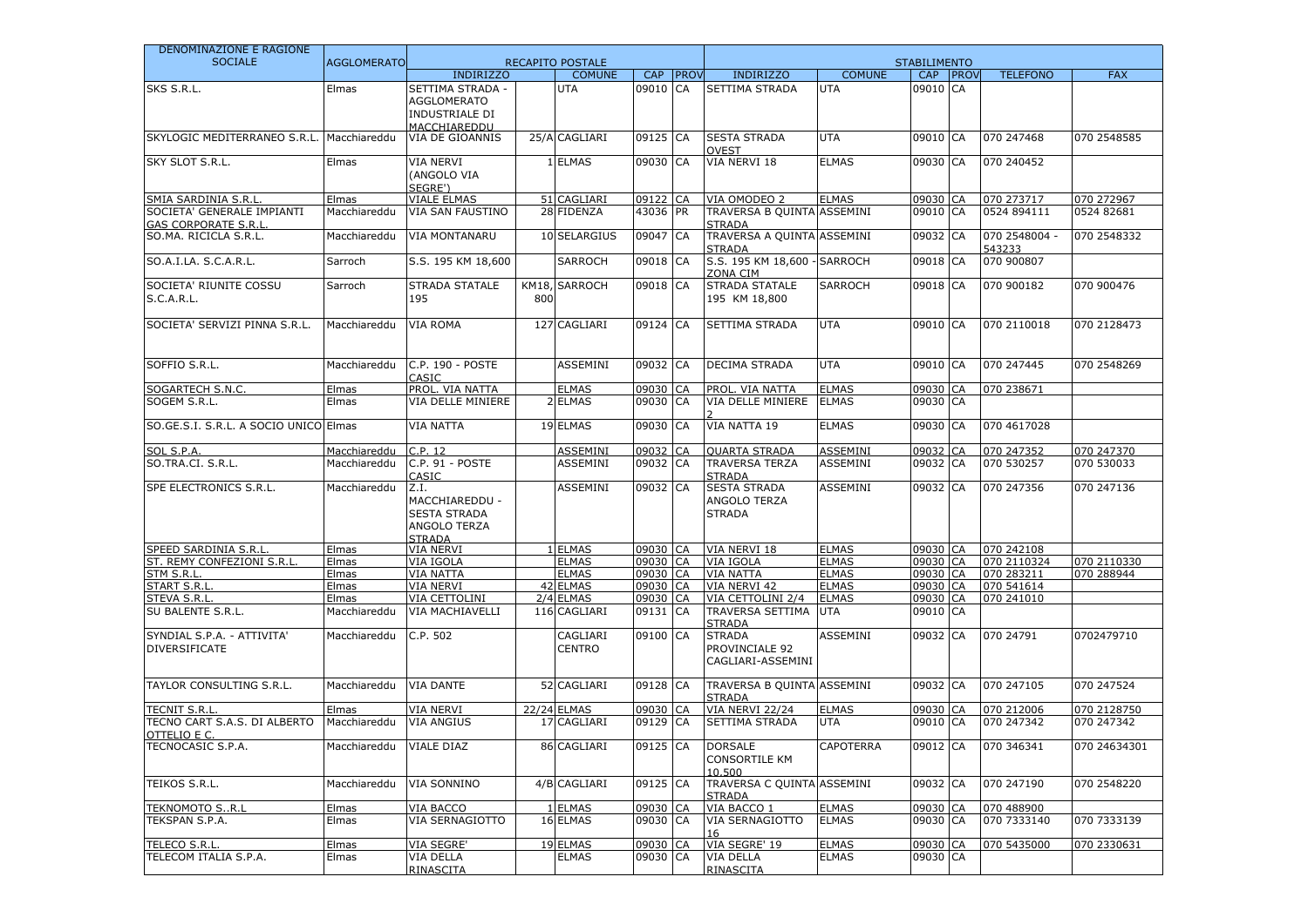| DENOMINAZIONE E RAGIONE                             |                    |                         |     |                              |                      |             |                                             |                              |                      |                           |                           |
|-----------------------------------------------------|--------------------|-------------------------|-----|------------------------------|----------------------|-------------|---------------------------------------------|------------------------------|----------------------|---------------------------|---------------------------|
| <b>SOCIALE</b>                                      | <b>AGGLOMERATO</b> |                         |     | <b>RECAPITO POSTALE</b>      |                      |             |                                             |                              | <b>STABILIMENTO</b>  |                           |                           |
|                                                     |                    | <b>INDIRIZZO</b>        |     | <b>COMUNE</b>                | <b>CAP</b>           | <b>PROV</b> | <b>INDIRIZZO</b>                            | <b>COMUNE</b>                | CAP PROV             | <b>TELEFONO</b>           | <b>FAX</b>                |
| SKS S.R.L.                                          | Elmas              | SETTIMA STRADA -        |     | <b>UTA</b>                   | 09010 CA             |             | SETTIMA STRADA                              | <b>UTA</b>                   | 09010 CA             |                           |                           |
|                                                     |                    | <b>AGGLOMERATO</b>      |     |                              |                      |             |                                             |                              |                      |                           |                           |
|                                                     |                    | INDUSTRIALE DI          |     |                              |                      |             |                                             |                              |                      |                           |                           |
|                                                     |                    | MACCHIAREDDU            |     |                              |                      |             |                                             |                              |                      |                           |                           |
| SKYLOGIC MEDITERRANEO S.R.L.                        | Macchiareddu       | VIA DE GIOANNIS         |     | 25/A CAGLIARI                | 09125 CA             |             | <b>SESTA STRADA</b>                         | <b>UTA</b>                   | 09010 CA             | 070 247468                | 070 2548585               |
|                                                     |                    |                         |     |                              |                      |             | <b>OVEST</b>                                |                              |                      |                           |                           |
| SKY SLOT S.R.L.                                     | Elmas              | <b>VIA NERVI</b>        |     | 1 ELMAS                      | 09030 CA             |             | VIA NERVI 18                                | <b>ELMAS</b>                 | 09030 CA             | 070 240452                |                           |
|                                                     |                    | (ANGOLO VIA             |     |                              |                      |             |                                             |                              |                      |                           |                           |
|                                                     |                    | SEGRE')                 |     |                              |                      |             |                                             |                              |                      |                           |                           |
| SMIA SARDINIA S.R.L                                 | Elmas              | <b>VIALE ELMAS</b>      |     | 51 CAGLIARI                  | 09122                | <b>CA</b>   | VIA OMODEO 2                                | <b>ELMAS</b>                 | 09030 CA             | 070 273717                | 070 272967                |
| SOCIETA' GENERALE IMPIANTI                          | Macchiareddu       | <b>VIA SAN FAUSTINO</b> |     | 28 FIDENZA                   | 43036 PR             |             | TRAVERSA B QUINTA ASSEMINI                  |                              | 09010 CA             | 0524 894111               | 0524 82681                |
| <b>GAS CORPORATE S.R.L</b><br>SO.MA. RICICLA S.R.L. | Macchiareddu       | <b>VIA MONTANARU</b>    |     | 10 SELARGIUS                 | 09047 CA             |             | <b>STRADA</b><br>TRAVERSA A QUINTA ASSEMINI |                              | 09032 CA             | 070 2548004 -             | 070 2548332               |
|                                                     |                    |                         |     |                              |                      |             | <b>STRADA</b>                               |                              |                      | 543233                    |                           |
| SO.A.I.LA. S.C.A.R.L.                               | Sarroch            | S.S. 195 KM 18,600      |     | <b>SARROCH</b>               | 09018 CA             |             | S.S. 195 KM 18,600 - SARROCH                |                              | 09018 CA             | 070 900807                |                           |
|                                                     |                    |                         |     |                              |                      |             | ZONA CIM                                    |                              |                      |                           |                           |
| SOCIETA' RIUNITE COSSU                              | Sarroch            | <b>STRADA STATALE</b>   |     | KM18, SARROCH                | 09018 CA             |             | <b>STRADA STATALE</b>                       | <b>SARROCH</b>               | 09018 CA             | 070 900182                | 070 900476                |
| <b>S.C.A.R.L.</b>                                   |                    | 195                     | 800 |                              |                      |             | 195 KM 18,800                               |                              |                      |                           |                           |
|                                                     |                    |                         |     |                              |                      |             |                                             |                              |                      |                           |                           |
| SOCIETA' SERVIZI PINNA S.R.L.                       | Macchiareddu       | VIA ROMA                |     | 127 CAGLIARI                 | 09124 CA             |             | SETTIMA STRADA                              | <b>UTA</b>                   | 09010 CA             | 070 2110018               | 070 2128473               |
|                                                     |                    |                         |     |                              |                      |             |                                             |                              |                      |                           |                           |
|                                                     |                    |                         |     |                              |                      |             |                                             |                              |                      |                           |                           |
| SOFFIO S.R.L.                                       | Macchiareddu       | C.P. 190 - POSTE        |     | <b>ASSEMINI</b>              | 09032 CA             |             | <b>DECIMA STRADA</b>                        | <b>UTA</b>                   | 09010 CA             | 070 247445                | 070 2548269               |
|                                                     |                    | CASIC                   |     |                              |                      |             |                                             |                              |                      |                           |                           |
| SOGARTECH S.N.C.                                    | Elmas              | PROL. VIA NATTA         |     | <b>ELMAS</b>                 | 09030 CA             |             | PROL. VIA NATTA                             | <b>ELMAS</b>                 | 09030 CA             | 070 238671                |                           |
| SOGEM S.R.L.                                        | Elmas              | VIA DELLE MINIERE       |     | 2 ELMAS                      | 09030 CA             |             | VIA DELLE MINIERE                           | <b>ELMAS</b>                 | 09030 CA             |                           |                           |
|                                                     |                    |                         |     |                              |                      |             |                                             |                              |                      |                           |                           |
| SO.GE.S.I. S.R.L. A SOCIO UNICO Elmas               |                    | <b>VIA NATTA</b>        |     | 19 ELMAS                     | 09030 CA             |             | VIA NATTA 19                                | <b>ELMAS</b>                 | 09030 CA             | 070 4617028               |                           |
|                                                     |                    |                         |     |                              |                      |             |                                             |                              |                      |                           |                           |
| SOL S.P.A.                                          | Macchiareddu       | C.P. 12                 |     | <b>ASSEMINI</b>              | 09032                | CA          | <b>QUARTA STRADA</b>                        | ASSEMINI                     | 09032 CA             | 070 247352                | 070 247370                |
| SO.TRA.CI. S.R.L.                                   | Macchiareddu       | C.P. 91 - POSTE         |     | ASSEMINI                     | 09032 CA             |             | <b>TRAVERSA TERZA</b>                       | ASSEMINI                     | 09032 CA             | 070 530257                | 070 530033                |
|                                                     |                    | CASIC                   |     |                              |                      |             | <b>STRADA</b>                               |                              |                      |                           |                           |
| SPE ELECTRONICS S.R.L.                              | Macchiareddu       | Z.I.                    |     | ASSEMINI                     | 09032 CA             |             | <b>SESTA STRADA</b>                         | ASSEMINI                     | 09032 CA             | 070 247356                | 070 247136                |
|                                                     |                    | MACCHIAREDDU -          |     |                              |                      |             | ANGOLO TERZA                                |                              |                      |                           |                           |
|                                                     |                    | <b>SESTA STRADA</b>     |     |                              |                      |             | <b>STRADA</b>                               |                              |                      |                           |                           |
|                                                     |                    | ANGOLO TERZA            |     |                              |                      |             |                                             |                              |                      |                           |                           |
|                                                     |                    | <b>STRADA</b>           |     |                              |                      |             |                                             |                              |                      |                           |                           |
| SPEED SARDINIA S.R.L                                | Elmas              | <b>VIA NERVI</b>        |     | 1 ELMAS                      | 09030 CA             |             | VIA NERVI 18                                | <b>ELMAS</b>                 | 09030 CA             | 070 242108                |                           |
| ST. REMY CONFEZIONI S.R.L<br>STM S.R.L              | Elmas              | VIA IGOLA<br>VIA NATTA  |     | <b>ELMAS</b><br><b>ELMAS</b> | 09030 CA<br>09030 CA |             | VIA IGOLA<br><b>VIA NATTA</b>               | <b>ELMAS</b><br><b>ELMAS</b> | 09030 CA<br>09030 CA | 070 2110324<br>070 283211 | 070 2110330<br>070 288944 |
| <b>START S.R.L</b>                                  | Elmas<br>Elmas     | <b>VIA NERVI</b>        |     | 42 ELMAS                     | 09030 CA             |             | VIA NERVI 42                                | <b>ELMAS</b>                 | 09030 CA             | 070 541614                |                           |
| STEVA S.R.L.                                        | Elmas              | VIA CETTOLINI           |     | 2/4 ELMAS                    | 09030                | <b>CA</b>   | VIA CETTOLINI 2/4                           | <b>ELMAS</b>                 | 09030 CA             | 070 241010                |                           |
| SU BALENTE S.R.L.                                   | Macchiareddu       | VIA MACHIAVELLI         |     | 116 CAGLIARI                 | 09131 CA             |             | <b>TRAVERSA SETTIMA</b>                     | <b>UTA</b>                   | 09010 CA             |                           |                           |
|                                                     |                    |                         |     |                              |                      |             | <b>STRADA</b>                               |                              |                      |                           |                           |
| SYNDIAL S.P.A. - ATTIVITA'                          | Macchiareddu       | C.P. 502                |     | CAGLIARI                     | 09100 CA             |             | <b>STRADA</b>                               | ASSEMINI                     | 09032 CA             | 070 24791                 | 0702479710                |
| <b>DIVERSIFICATE</b>                                |                    |                         |     | <b>CENTRO</b>                |                      |             | PROVINCIALE 92                              |                              |                      |                           |                           |
|                                                     |                    |                         |     |                              |                      |             | CAGLIARI-ASSEMINI                           |                              |                      |                           |                           |
|                                                     |                    |                         |     |                              |                      |             |                                             |                              |                      |                           |                           |
| TAYLOR CONSULTING S.R.L.                            | Macchiareddu       | <b>VIA DANTE</b>        |     | 52 CAGLIARI                  | 09128 CA             |             | TRAVERSA B OUINTA ASSEMINI                  |                              | 09032 CA             | 070 247105                | 070 247524                |
|                                                     |                    |                         |     |                              |                      |             | <b>STRADA</b>                               |                              |                      |                           |                           |
| <b>TECNIT S.R.L</b>                                 | Elmas              | <b>VIA NERVI</b>        |     | <b>22/24 ELMAS</b>           | 09030                | CA          | VIA NERVI 22/24                             | <b>ELMAS</b>                 | 09030 CA             | 070 212006                | 070 2128750               |
| TECNO CART S.A.S. DI ALBERTO                        | Macchiareddu       | <b>VIA ANGIUS</b>       |     | 17 CAGLIARI                  | 09129 CA             |             | SETTIMA STRADA                              | <b>UTA</b>                   | 09010 CA             | 070 247342                | 070 247342                |
| OTTELIO E C.                                        |                    |                         |     |                              |                      |             |                                             |                              |                      |                           |                           |
| TECNOCASIC S.P.A.                                   | Macchiareddu       | <b>VIALE DIAZ</b>       |     | 86 CAGLIARI                  | 09125 CA             |             | <b>DORSALE</b>                              | CAPOTERRA                    | 09012 CA             | 070 346341                | 070 24634301              |
|                                                     |                    |                         |     |                              |                      |             | <b>CONSORTILE KM</b>                        |                              |                      |                           |                           |
|                                                     |                    |                         |     |                              |                      |             | 10,500                                      |                              |                      |                           |                           |
| TEIKOS S.R.L.                                       | Macchiareddu       | <b>VIA SONNINO</b>      |     | 4/B CAGLIARI                 | 09125 CA             |             | TRAVERSA C QUINTA ASSEMINI<br><b>STRADA</b> |                              | 09032 CA             | 070 247190                | 070 2548220               |
| <b>TEKNOMOTO S., R, L</b>                           | Elmas              | VIA BACCO               |     | 1 ELMAS                      | 09030 CA             |             | VIA BACCO 1                                 | <b>ELMAS</b>                 | 09030 CA             | 070 488900                |                           |
| TEKSPAN S.P.A.                                      | Elmas              | VIA SERNAGIOTTO         |     | 16 ELMAS                     | 09030 CA             |             | <b>VIA SERNAGIOTTO</b>                      | <b>ELMAS</b>                 | 09030 CA             | 070 7333140               | 070 7333139               |
|                                                     |                    |                         |     |                              |                      |             |                                             |                              |                      |                           |                           |
| TELECO S.R.L.                                       | Elmas              | VIA SEGRE'              |     | 19 ELMAS                     | 09030 CA             |             | VIA SEGRE' 19                               | <b>ELMAS</b>                 | 09030 CA             | 070 5435000               | 070 2330631               |
| TELECOM ITALIA S.P.A.                               | Elmas              | VIA DELLA               |     | <b>ELMAS</b>                 | 09030 CA             |             | VIA DELLA                                   | <b>ELMAS</b>                 | 09030 CA             |                           |                           |
|                                                     |                    | RINASCITA               |     |                              |                      |             | <b>RINASCITA</b>                            |                              |                      |                           |                           |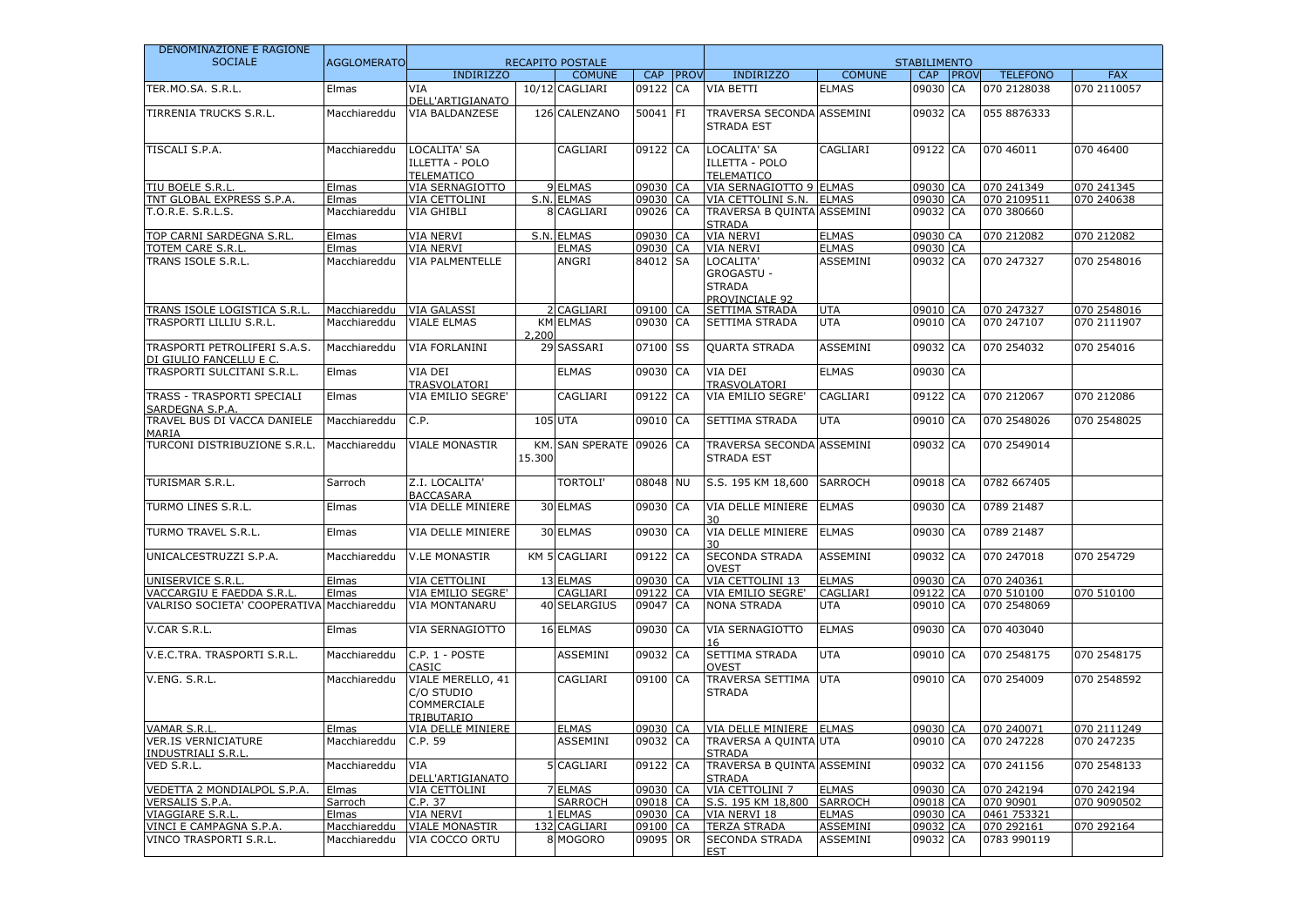| DENOMINAZIONE E RAGIONE                                 |                    |                                                              |               |                      |           |            |                                                                   |                 |            |             |                 |             |  |
|---------------------------------------------------------|--------------------|--------------------------------------------------------------|---------------|----------------------|-----------|------------|-------------------------------------------------------------------|-----------------|------------|-------------|-----------------|-------------|--|
| <b>SOCIALE</b>                                          | <b>AGGLOMERATO</b> | <b>RECAPITO POSTALE</b>                                      |               |                      |           |            | <b>STABILIMENTO</b>                                               |                 |            |             |                 |             |  |
|                                                         |                    | <b>INDIRIZZO</b>                                             |               | <b>COMUNE</b>        | CAP       | PROV       | <b>INDIRIZZO</b>                                                  | <b>COMUNE</b>   | <b>CAP</b> | <b>PROV</b> | <b>TELEFONO</b> | <b>FAX</b>  |  |
| TER.MO.SA. S.R.L.                                       | Elmas              | VIA<br>DELL'ARTIGIANATO                                      |               | 10/12 CAGLIARI       | 09122 CA  |            | VIA BETTI                                                         | <b>ELMAS</b>    | 09030 CA   |             | 070 2128038     | 070 2110057 |  |
| <b>TIRRENIA TRUCKS S.R.L.</b>                           | Macchiareddu       | VIA BALDANZESE                                               |               | 126 CALENZANO        | 50041     | <b>IFI</b> | TRAVERSA SECONDA ASSEMINI<br><b>STRADA EST</b>                    |                 | 09032 CA   |             | 055 8876333     |             |  |
| TISCALI S.P.A.                                          | Macchiareddu       | LOCALITA' SA<br>ILLETTA - POLO<br><b>TELEMATICO</b>          |               | CAGLIARI             | 09122 CA  |            | LOCALITA' SA<br>ILLETTA - POLO<br><b>TELEMATICO</b>               | CAGLIARI        | 09122 CA   |             | 070 46011       | 070 46400   |  |
| <b>TIU BOELE S.R.L</b>                                  | Elmas              | VIA SERNAGIOTTO                                              |               | 9 ELMAS              | 09030 CA  |            | VIA SERNAGIOTTO 9 ELMAS                                           |                 | 09030 CA   |             | 070 241349      | 070 241345  |  |
| <b>TNT GLOBAL EXPRESS S.P.A.</b>                        | Elmas              | <b>VIA CETTOLINI</b>                                         |               | S.N. ELMAS           | 09030     | CA         | VIA CETTOLINI S.N.                                                | <b>ELMAS</b>    | 09030 CA   |             | 070 2109511     | 070 240638  |  |
| T.O.R.E. S.R.L.S.                                       | Macchiareddu       | <b>VIA GHIBLI</b>                                            |               | 8 CAGLIARI           | 09026 CA  |            | TRAVERSA B QUINTA ASSEMINI<br><b>STRADA</b>                       |                 | 09032 CA   |             | 070 380660      |             |  |
| TOP CARNI SARDEGNA S.RL.                                | Elmas              | <b>VIA NERVI</b>                                             |               | S.N. ELMAS           | 09030     | <b>CA</b>  | <b>VIA NERVI</b>                                                  | <b>ELMAS</b>    | 09030 CA   |             | 070 212082      | 070 212082  |  |
| <b>TOTEM CARE S.R.L</b>                                 | Elmas              | <b>VIA NERVI</b>                                             |               | <b>ELMAS</b>         | 09030 CA  |            | <b>VIA NERVI</b>                                                  | <b>ELMAS</b>    | 09030 CA   |             |                 |             |  |
| TRANS ISOLE S.R.L.                                      | Macchiareddu       | VIA PALMENTELLE                                              |               | ANGRI                | 84012 SA  |            | LOCALITA'<br><b>GROGASTU -</b><br><b>STRADA</b><br>PROVINCIALE 92 | ASSEMINI        | 09032 CA   |             | 070 247327      | 070 2548016 |  |
| TRANS ISOLE LOGISTICA S.R.L                             | Macchiareddu       | <b>VIA GALASSI</b>                                           |               | 2 CAGLIARI           | 09100     | CA         | SETTIMA STRADA                                                    | <b>UTA</b>      | 09010 CA   |             | 070 247327      | 070 2548016 |  |
| TRASPORTI LILLIU S.R.L.                                 | Macchiareddu       | <b>VIALE ELMAS</b>                                           | 2,200         | <b>KM ELMAS</b>      | 09030 CA  |            | SETTIMA STRADA                                                    | <b>UTA</b>      | 09010 CA   |             | 070 247107      | 070 2111907 |  |
| TRASPORTI PETROLIFERI S.A.S.<br>DI GIULIO FANCELLU E C. | Macchiareddu       | VIA FORLANINI                                                |               | 29 SASSARI           | 07100     | SS         | <b>QUARTA STRADA</b>                                              | ASSEMINI        | 09032 CA   |             | 070 254032      | 070 254016  |  |
| TRASPORTI SULCITANI S.R.L.                              | Elmas              | VIA DEI<br>TRASVOLATORI                                      |               | <b>ELMAS</b>         | 09030     | CA         | VIA DEI<br><b>TRASVOLATORI</b>                                    | <b>ELMAS</b>    | 09030 CA   |             |                 |             |  |
| TRASS - TRASPORTI SPECIALI<br>SARDEGNA S.P.A.           | Elmas              | VIA EMILIO SEGRE'                                            |               | CAGLIARI             | 09122 CA  |            | VIA EMILIO SEGRE'                                                 | CAGLIARI        | 09122 CA   |             | 070 212067      | 070 212086  |  |
| TRAVEL BUS DI VACCA DANIELE<br>MARIA                    | Macchiareddu       | C.P.                                                         |               | <b>105 UTA</b>       | 09010 CA  |            | SETTIMA STRADA                                                    | <b>UTA</b>      | 09010 CA   |             | 070 2548026     | 070 2548025 |  |
| TURCONI DISTRIBUZIONE S.R.L.                            | Macchiareddu       | <b>VIALE MONASTIR</b>                                        | KM.<br>15.300 | SAN SPERATE 09026 CA |           |            | TRAVERSA SECONDA ASSEMINI<br><b>STRADA EST</b>                    |                 | 09032 CA   |             | 070 2549014     |             |  |
| TURISMAR S.R.L.                                         | Sarroch            | Z.I. LOCALITA'<br><b>BACCASARA</b>                           |               | <b>TORTOLI'</b>      | 08048 NU  |            | S.S. 195 KM 18,600                                                | <b>SARROCH</b>  | 09018 CA   |             | 0782 667405     |             |  |
| TURMO LINES S.R.L.                                      | Elmas              | VIA DELLE MINIERE                                            |               | 30 ELMAS             | 09030 CA  |            | VIA DELLE MINIERE<br>30                                           | <b>ELMAS</b>    | 09030 CA   |             | 0789 21487      |             |  |
| TURMO TRAVEL S.R.L.                                     | Elmas              | VIA DELLE MINIERE                                            |               | 30 ELMAS             | 09030 CA  |            | VIA DELLE MINIERE<br>30                                           | <b>ELMAS</b>    | 09030 CA   |             | 0789 21487      |             |  |
| UNICALCESTRUZZI S.P.A.                                  | Macchiareddu       | <b>V.LE MONASTIR</b>                                         |               | KM 5 CAGLIARI        | 09122 CA  |            | <b>SECONDA STRADA</b><br><b>OVEST</b>                             | ASSEMINI        | 09032 CA   |             | 070 247018      | 070 254729  |  |
| UNISERVICE S.R.L                                        | Elmas              | <b>VIA CETTOLINI</b>                                         |               | 13 ELMAS             | 09030     | <b>CA</b>  | VIA CETTOLINI 13                                                  | <b>ELMAS</b>    | 09030 CA   |             | 070 240361      |             |  |
| VACCARGIU E FAEDDA S.R.L                                | Elmas              | VIA EMILIO SEGRE'                                            |               | CAGLIARI             | 09122 CA  |            | VIA EMILIO SEGRE'                                                 | CAGLIARI        | 09122 CA   |             | 070 510100      | 070 510100  |  |
| VALRISO SOCIETA' COOPERATIVA Macchiareddu               |                    | <b>VIA MONTANARU</b>                                         |               | 40 SELARGIUS         | 09047 CA  |            | <b>NONA STRADA</b>                                                | <b>UTA</b>      | 09010 CA   |             | 070 2548069     |             |  |
| V.CAR S.R.L.                                            | Elmas              | VIA SERNAGIOTTO                                              |               | 16 ELMAS             | 09030     | <b>CA</b>  | VIA SERNAGIOTTO<br>16                                             | <b>ELMAS</b>    | 09030 CA   |             | 070 403040      |             |  |
| V.E.C.TRA. TRASPORTI S.R.L.                             | Macchiareddu       | C.P. 1 - POSTE<br>CASIC                                      |               | ASSEMINI             | 09032     | <b>CA</b>  | SETTIMA STRADA<br><b>OVEST</b>                                    | <b>UTA</b>      | 09010 CA   |             | 070 2548175     | 070 2548175 |  |
| V.ENG. S.R.L.                                           | Macchiareddu       | VIALE MERELLO, 41<br>C/O STUDIO<br>COMMERCIALE<br>TRIBUTARIO |               | CAGLIARI             | 09100 CA  |            | <b>TRAVERSA SETTIMA</b><br><b>STRADA</b>                          | <b>UTA</b>      | 09010 CA   |             | 070 254009      | 070 2548592 |  |
| VAMAR S.R.L                                             | Elmas              | VIA DELLE MINIERE                                            |               | <b>ELMAS</b>         | 09030 CA  |            | VIA DELLE MINIERE ELMAS                                           |                 | 09030 CA   |             | 070 240071      | 070 2111249 |  |
| VER.IS VERNICIATURE<br><b>INDUSTRIALI S.R.L</b>         | Macchiareddu       | C.P. 59                                                      |               | ASSEMINI             | 09032 ICA |            | TRAVERSA A QUINTAJUTA<br><b>STRADA</b>                            |                 | 09010 CA   |             | 070 247228      | 070 247235  |  |
| VED S.R.L.                                              | Macchiareddu       | VIA<br>DELL'ARTIGIANATO                                      |               | 5 CAGLIARI           | 09122 CA  |            | TRAVERSA B QUINTA ASSEMINI<br><b>STRADA</b>                       |                 | 09032 CA   |             | 070 241156      | 070 2548133 |  |
| VEDETTA 2 MONDIALPOL S.P.A.                             | Elmas              | VIA CETTOLINI                                                |               | 7 ELMAS              | 09030 CA  |            | VIA CETTOLINI 7                                                   | <b>ELMAS</b>    | 09030 CA   |             | 070 242194      | 070 242194  |  |
| VERSALIS S.P.A.                                         | Sarroch            | C.P. 37                                                      |               | <b>SARROCH</b>       | 09018 CA  |            | S.S. 195 KM 18,800                                                | <b>SARROCH</b>  | 09018 CA   |             | 070 90901       | 070 9090502 |  |
| VIAGGIARE S.R.L.                                        | Elmas              | VIA NERVI                                                    |               | 1 ELMAS              | 09030 CA  |            | VIA NERVI 18                                                      | <b>ELMAS</b>    | 09030 CA   |             | 0461 753321     |             |  |
| VINCI E CAMPAGNA S.P.A.                                 | Macchiareddu       | <b>VIALE MONASTIR</b>                                        |               | 132 CAGLIARI         | 09100 CA  |            | <b>TERZA STRADA</b>                                               | <b>ASSEMINI</b> | 09032 CA   |             | 070 292161      | 070 292164  |  |
| VINCO TRASPORTI S.R.L.                                  | Macchiareddu       | VIA COCCO ORTU                                               |               | 8 MOGORO             | 09095 OR  |            | SECONDA STRADA<br><b>EST</b>                                      | ASSEMINI        | 09032 CA   |             | 0783 990119     |             |  |